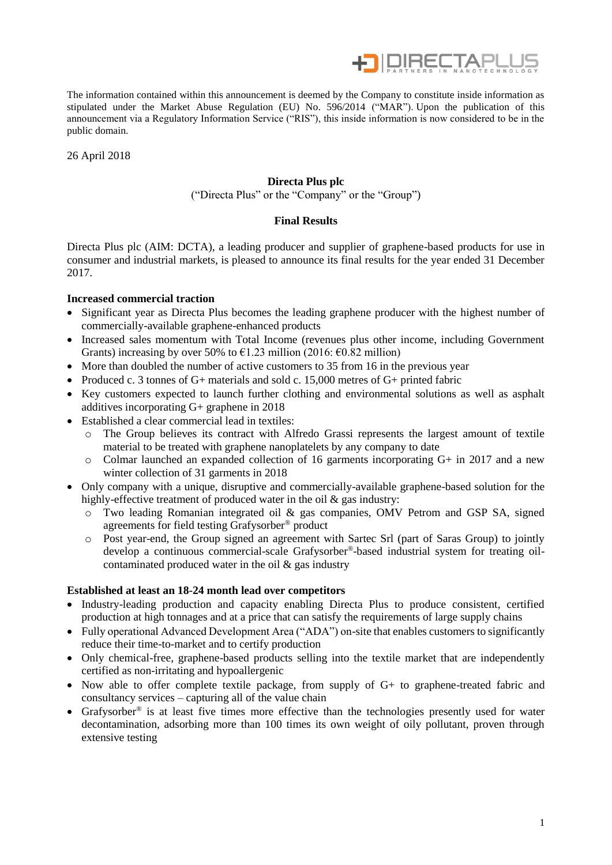

The information contained within this announcement is deemed by the Company to constitute inside information as stipulated under the Market Abuse Regulation (EU) No. 596/2014 ("MAR"). Upon the publication of this announcement via a Regulatory Information Service ("RIS"), this inside information is now considered to be in the public domain.

26 April 2018

# **Directa Plus plc**

("Directa Plus" or the "Company" or the "Group")

# **Final Results**

Directa Plus plc (AIM: DCTA), a leading producer and supplier of graphene-based products for use in consumer and industrial markets, is pleased to announce its final results for the year ended 31 December 2017.

# **Increased commercial traction**

- Significant year as Directa Plus becomes the leading graphene producer with the highest number of commercially-available graphene-enhanced products
- Increased sales momentum with Total Income (revenues plus other income, including Government Grants) increasing by over 50% to  $\epsilon$ 1.23 million (2016:  $\epsilon$ 0.82 million)
- More than doubled the number of active customers to 35 from 16 in the previous year
- Produced c. 3 tonnes of G+ materials and sold c. 15,000 metres of G+ printed fabric
- Key customers expected to launch further clothing and environmental solutions as well as asphalt additives incorporating G+ graphene in 2018
- Established a clear commercial lead in textiles:
	- o The Group believes its contract with Alfredo Grassi represents the largest amount of textile material to be treated with graphene nanoplatelets by any company to date
	- o Colmar launched an expanded collection of 16 garments incorporating G+ in 2017 and a new winter collection of 31 garments in 2018
- Only company with a unique, disruptive and commercially-available graphene-based solution for the highly-effective treatment of produced water in the oil & gas industry:
	- o Two leading Romanian integrated oil & gas companies, OMV Petrom and GSP SA, signed agreements for field testing Grafysorber® product
	- o Post year-end, the Group signed an agreement with Sartec Srl (part of Saras Group) to jointly develop a continuous commercial-scale Grafysorber® -based industrial system for treating oilcontaminated produced water in the oil & gas industry

# **Established at least an 18-24 month lead over competitors**

- Industry-leading production and capacity enabling Directa Plus to produce consistent, certified production at high tonnages and at a price that can satisfy the requirements of large supply chains
- Fully operational Advanced Development Area ("ADA") on-site that enables customers to significantly reduce their time-to-market and to certify production
- Only chemical-free, graphene-based products selling into the textile market that are independently certified as non-irritating and hypoallergenic
- Now able to offer complete textile package, from supply of G+ to graphene-treated fabric and consultancy services – capturing all of the value chain
- Grafysorber<sup>®</sup> is at least five times more effective than the technologies presently used for water decontamination, adsorbing more than 100 times its own weight of oily pollutant, proven through extensive testing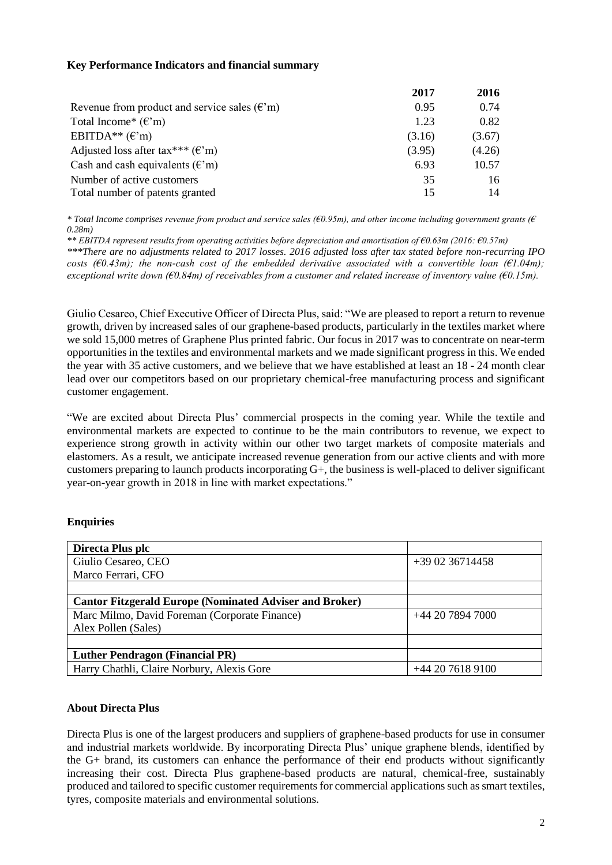# **Key Performance Indicators and financial summary**

|                                                               | 2017   | 2016   |
|---------------------------------------------------------------|--------|--------|
| Revenue from product and service sales $(\mathbf{f}^{\cdot})$ | 0.95   | 0.74   |
| Total Income* $(\epsilon'm)$                                  | 1.23   | 0.82   |
| EBITDA** $(\mathcal{E}$ 'm)                                   | (3.16) | (3.67) |
| Adjusted loss after tax*** $(\mathbf{f}^{\cdot})$             | (3.95) | (4.26) |
| Cash and cash equivalents $(\mathbf{f}^{\prime}\mathbf{m})$   | 6.93   | 10.57  |
| Number of active customers                                    | 35     | 16     |
| Total number of patents granted                               | 15     | 14     |

*\* Total Income comprises revenue from product and service sales (€0.95m), and other income including government grants (€ 0.28m)*

*\*\* EBITDA represent results from operating activities before depreciation and amortisation of €0.63m (2016: €0.57m) \*\*\*There are no adjustments related to 2017 losses. 2016 adjusted loss after tax stated before non-recurring IPO costs (€0.43m); the non-cash cost of the embedded derivative associated with a convertible loan (€1.04m); exceptional write down (€0.84m) of receivables from a customer and related increase of inventory value (€0.15m).* 

Giulio Cesareo, Chief Executive Officer of Directa Plus, said: "We are pleased to report a return to revenue growth, driven by increased sales of our graphene-based products, particularly in the textiles market where we sold 15,000 metres of Graphene Plus printed fabric. Our focus in 2017 was to concentrate on near-term opportunities in the textiles and environmental markets and we made significant progress in this. We ended the year with 35 active customers, and we believe that we have established at least an 18 - 24 month clear lead over our competitors based on our proprietary chemical-free manufacturing process and significant customer engagement.

"We are excited about Directa Plus' commercial prospects in the coming year. While the textile and environmental markets are expected to continue to be the main contributors to revenue, we expect to experience strong growth in activity within our other two target markets of composite materials and elastomers. As a result, we anticipate increased revenue generation from our active clients and with more customers preparing to launch products incorporating G+, the business is well-placed to deliver significant year-on-year growth in 2018 in line with market expectations."

# **Enquiries**

| Directa Plus plc                                               |                 |
|----------------------------------------------------------------|-----------------|
| Giulio Cesareo, CEO                                            | $+390236714458$ |
| Marco Ferrari, CFO                                             |                 |
|                                                                |                 |
| <b>Cantor Fitzgerald Europe (Nominated Adviser and Broker)</b> |                 |
| Marc Milmo, David Foreman (Corporate Finance)                  | $+442078947000$ |
| Alex Pollen (Sales)                                            |                 |
|                                                                |                 |
| <b>Luther Pendragon (Financial PR)</b>                         |                 |
| Harry Chathli, Claire Norbury, Alexis Gore                     | $+442076189100$ |

# **About Directa Plus**

Directa Plus is one of the largest producers and suppliers of graphene-based products for use in consumer and industrial markets worldwide. By incorporating Directa Plus' unique graphene blends, identified by the G+ brand, its customers can enhance the performance of their end products without significantly increasing their cost. Directa Plus graphene-based products are natural, chemical-free, sustainably produced and tailored to specific customer requirements for commercial applications such as smart textiles, tyres, composite materials and environmental solutions.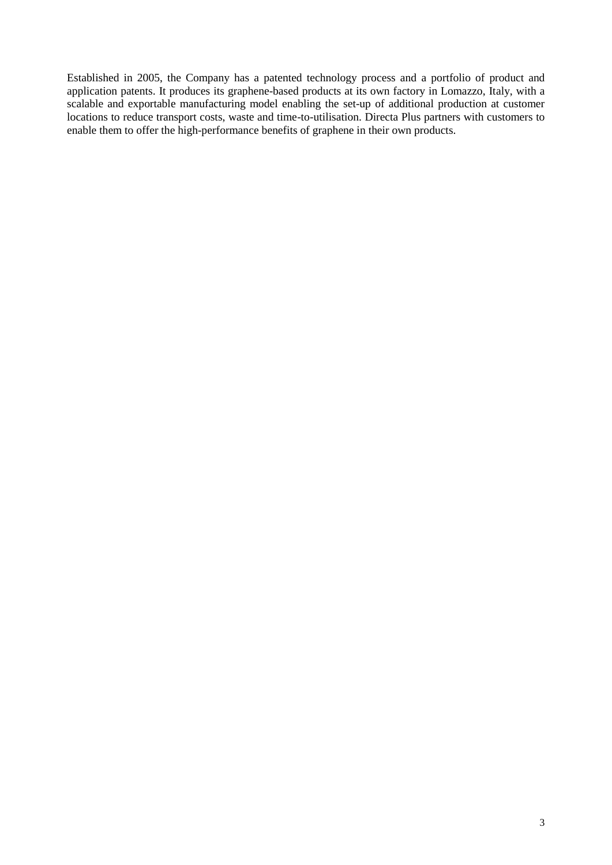Established in 2005, the Company has a patented technology process and a portfolio of product and application patents. It produces its graphene-based products at its own factory in Lomazzo, Italy, with a scalable and exportable manufacturing model enabling the set-up of additional production at customer locations to reduce transport costs, waste and time-to-utilisation. Directa Plus partners with customers to enable them to offer the high-performance benefits of graphene in their own products.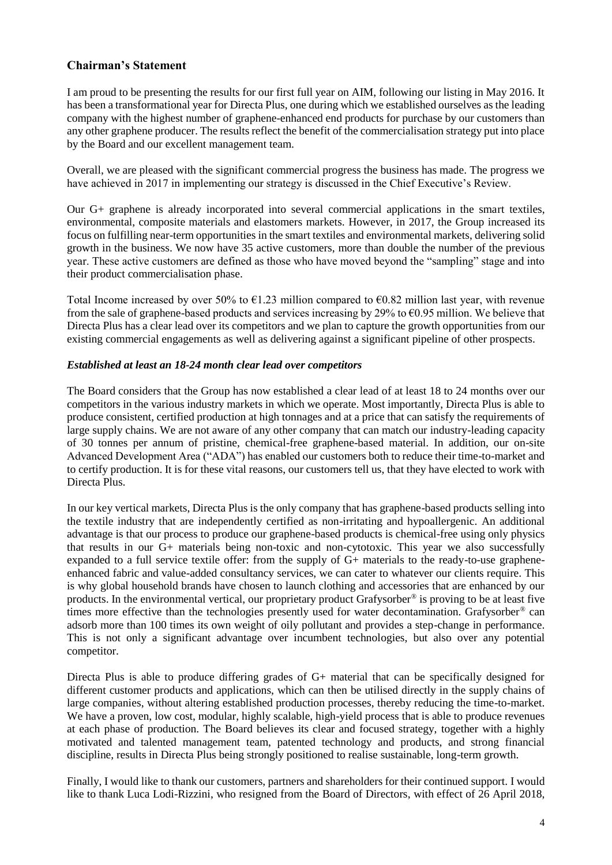# **Chairman's Statement**

I am proud to be presenting the results for our first full year on AIM, following our listing in May 2016. It has been a transformational year for Directa Plus, one during which we established ourselves as the leading company with the highest number of graphene-enhanced end products for purchase by our customers than any other graphene producer. The results reflect the benefit of the commercialisation strategy put into place by the Board and our excellent management team.

Overall, we are pleased with the significant commercial progress the business has made. The progress we have achieved in 2017 in implementing our strategy is discussed in the Chief Executive's Review.

Our G+ graphene is already incorporated into several commercial applications in the smart textiles, environmental, composite materials and elastomers markets. However, in 2017, the Group increased its focus on fulfilling near-term opportunities in the smart textiles and environmental markets, delivering solid growth in the business. We now have 35 active customers, more than double the number of the previous year. These active customers are defined as those who have moved beyond the "sampling" stage and into their product commercialisation phase.

Total Income increased by over 50% to  $\epsilon$ 1.23 million compared to  $\epsilon$ 0.82 million last year, with revenue from the sale of graphene-based products and services increasing by 29% to  $\epsilon$ 0.95 million. We believe that Directa Plus has a clear lead over its competitors and we plan to capture the growth opportunities from our existing commercial engagements as well as delivering against a significant pipeline of other prospects.

# *Established at least an 18-24 month clear lead over competitors*

The Board considers that the Group has now established a clear lead of at least 18 to 24 months over our competitors in the various industry markets in which we operate. Most importantly, Directa Plus is able to produce consistent, certified production at high tonnages and at a price that can satisfy the requirements of large supply chains. We are not aware of any other company that can match our industry-leading capacity of 30 tonnes per annum of pristine, chemical-free graphene-based material. In addition, our on-site Advanced Development Area ("ADA") has enabled our customers both to reduce their time-to-market and to certify production. It is for these vital reasons, our customers tell us, that they have elected to work with Directa Plus.

In our key vertical markets, Directa Plus is the only company that has graphene-based products selling into the textile industry that are independently certified as non-irritating and hypoallergenic. An additional advantage is that our process to produce our graphene-based products is chemical-free using only physics that results in our G+ materials being non-toxic and non-cytotoxic. This year we also successfully expanded to a full service textile offer: from the supply of G+ materials to the ready-to-use grapheneenhanced fabric and value-added consultancy services, we can cater to whatever our clients require. This is why global household brands have chosen to launch clothing and accessories that are enhanced by our products. In the environmental vertical, our proprietary product Grafysorber® is proving to be at least five times more effective than the technologies presently used for water decontamination. Grafysorber® can adsorb more than 100 times its own weight of oily pollutant and provides a step-change in performance. This is not only a significant advantage over incumbent technologies, but also over any potential competitor.

Directa Plus is able to produce differing grades of G+ material that can be specifically designed for different customer products and applications, which can then be utilised directly in the supply chains of large companies, without altering established production processes, thereby reducing the time-to-market. We have a proven, low cost, modular, highly scalable, high-yield process that is able to produce revenues at each phase of production. The Board believes its clear and focused strategy, together with a highly motivated and talented management team, patented technology and products, and strong financial discipline, results in Directa Plus being strongly positioned to realise sustainable, long-term growth.

Finally, I would like to thank our customers, partners and shareholders for their continued support. I would like to thank Luca Lodi-Rizzini, who resigned from the Board of Directors, with effect of 26 April 2018,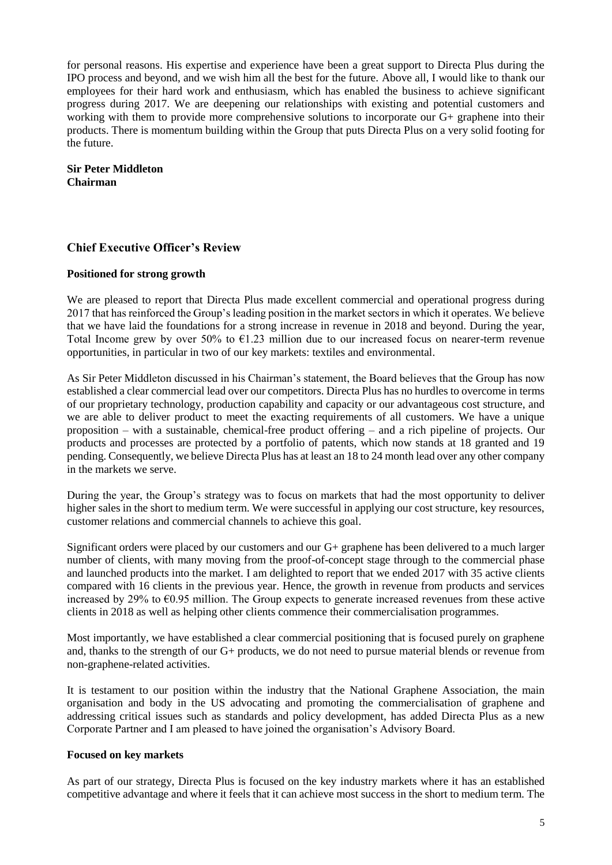for personal reasons. His expertise and experience have been a great support to Directa Plus during the IPO process and beyond, and we wish him all the best for the future. Above all, I would like to thank our employees for their hard work and enthusiasm, which has enabled the business to achieve significant progress during 2017. We are deepening our relationships with existing and potential customers and working with them to provide more comprehensive solutions to incorporate our G+ graphene into their products. There is momentum building within the Group that puts Directa Plus on a very solid footing for the future.

# **Sir Peter Middleton Chairman**

# **Chief Executive Officer's Review**

# **Positioned for strong growth**

We are pleased to report that Directa Plus made excellent commercial and operational progress during 2017 that has reinforced the Group's leading position in the market sectors in which it operates. We believe that we have laid the foundations for a strong increase in revenue in 2018 and beyond. During the year, Total Income grew by over 50% to  $\epsilon$ 1.23 million due to our increased focus on nearer-term revenue opportunities, in particular in two of our key markets: textiles and environmental.

As Sir Peter Middleton discussed in his Chairman's statement, the Board believes that the Group has now established a clear commercial lead over our competitors. Directa Plus has no hurdles to overcome in terms of our proprietary technology, production capability and capacity or our advantageous cost structure, and we are able to deliver product to meet the exacting requirements of all customers. We have a unique proposition – with a sustainable, chemical-free product offering – and a rich pipeline of projects. Our products and processes are protected by a portfolio of patents, which now stands at 18 granted and 19 pending. Consequently, we believe Directa Plus has at least an 18 to 24 month lead over any other company in the markets we serve.

During the year, the Group's strategy was to focus on markets that had the most opportunity to deliver higher sales in the short to medium term. We were successful in applying our cost structure, key resources, customer relations and commercial channels to achieve this goal.

Significant orders were placed by our customers and our G+ graphene has been delivered to a much larger number of clients, with many moving from the proof-of-concept stage through to the commercial phase and launched products into the market. I am delighted to report that we ended 2017 with 35 active clients compared with 16 clients in the previous year. Hence, the growth in revenue from products and services increased by 29% to €0.95 million. The Group expects to generate increased revenues from these active clients in 2018 as well as helping other clients commence their commercialisation programmes.

Most importantly, we have established a clear commercial positioning that is focused purely on graphene and, thanks to the strength of our G+ products, we do not need to pursue material blends or revenue from non-graphene-related activities.

It is testament to our position within the industry that the National Graphene Association, the main organisation and body in the US advocating and promoting the commercialisation of graphene and addressing critical issues such as standards and policy development, has added Directa Plus as a new Corporate Partner and I am pleased to have joined the organisation's Advisory Board.

# **Focused on key markets**

As part of our strategy, Directa Plus is focused on the key industry markets where it has an established competitive advantage and where it feels that it can achieve most success in the short to medium term. The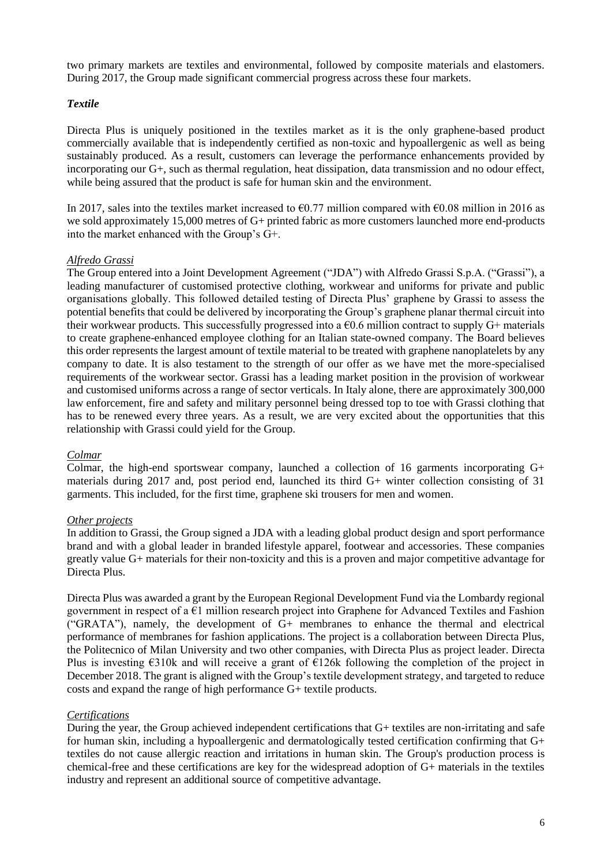two primary markets are textiles and environmental, followed by composite materials and elastomers. During 2017, the Group made significant commercial progress across these four markets.

# *Textile*

Directa Plus is uniquely positioned in the textiles market as it is the only graphene-based product commercially available that is independently certified as non-toxic and hypoallergenic as well as being sustainably produced. As a result, customers can leverage the performance enhancements provided by incorporating our G+, such as thermal regulation, heat dissipation, data transmission and no odour effect, while being assured that the product is safe for human skin and the environment.

In 2017, sales into the textiles market increased to  $\epsilon$ 0.77 million compared with  $\epsilon$ 0.08 million in 2016 as we sold approximately 15,000 metres of G+ printed fabric as more customers launched more end-products into the market enhanced with the Group's G+.

# *Alfredo Grassi*

The Group entered into a Joint Development Agreement ("JDA") with Alfredo Grassi S.p.A. ("Grassi"), a leading manufacturer of customised protective clothing, workwear and uniforms for private and public organisations globally. This followed detailed testing of Directa Plus' graphene by Grassi to assess the potential benefits that could be delivered by incorporating the Group's graphene planar thermal circuit into their workwear products. This successfully progressed into a  $\epsilon$ 0.6 million contract to supply G+ materials to create graphene-enhanced employee clothing for an Italian state-owned company. The Board believes this order represents the largest amount of textile material to be treated with graphene nanoplatelets by any company to date. It is also testament to the strength of our offer as we have met the more-specialised requirements of the workwear sector. Grassi has a leading market position in the provision of workwear and customised uniforms across a range of sector verticals. In Italy alone, there are approximately 300,000 law enforcement, fire and safety and military personnel being dressed top to toe with Grassi clothing that has to be renewed every three years. As a result, we are very excited about the opportunities that this relationship with Grassi could yield for the Group.

# *Colmar*

Colmar, the high-end sportswear company, launched a collection of 16 garments incorporating G+ materials during 2017 and, post period end, launched its third G+ winter collection consisting of 31 garments. This included, for the first time, graphene ski trousers for men and women.

# *Other projects*

In addition to Grassi, the Group signed a JDA with a leading global product design and sport performance brand and with a global leader in branded lifestyle apparel, footwear and accessories. These companies greatly value G+ materials for their non-toxicity and this is a proven and major competitive advantage for Directa Plus.

Directa Plus was awarded a grant by the European Regional Development Fund via the Lombardy regional government in respect of a €1 million research project into Graphene for Advanced Textiles and Fashion ("GRATA"), namely, the development of G+ membranes to enhance the thermal and electrical performance of membranes for fashion applications. The project is a collaboration between Directa Plus, the Politecnico of Milan University and two other companies, with Directa Plus as project leader. Directa Plus is investing  $\epsilon$ 310k and will receive a grant of  $\epsilon$ 126k following the completion of the project in December 2018. The grant is aligned with the Group's textile development strategy, and targeted to reduce costs and expand the range of high performance G+ textile products.

# *Certifications*

During the year, the Group achieved independent certifications that G+ textiles are non-irritating and safe for human skin, including a hypoallergenic and dermatologically tested certification confirming that G+ textiles do not cause allergic reaction and irritations in human skin. The Group's production process is chemical-free and these certifications are key for the widespread adoption of G+ materials in the textiles industry and represent an additional source of competitive advantage.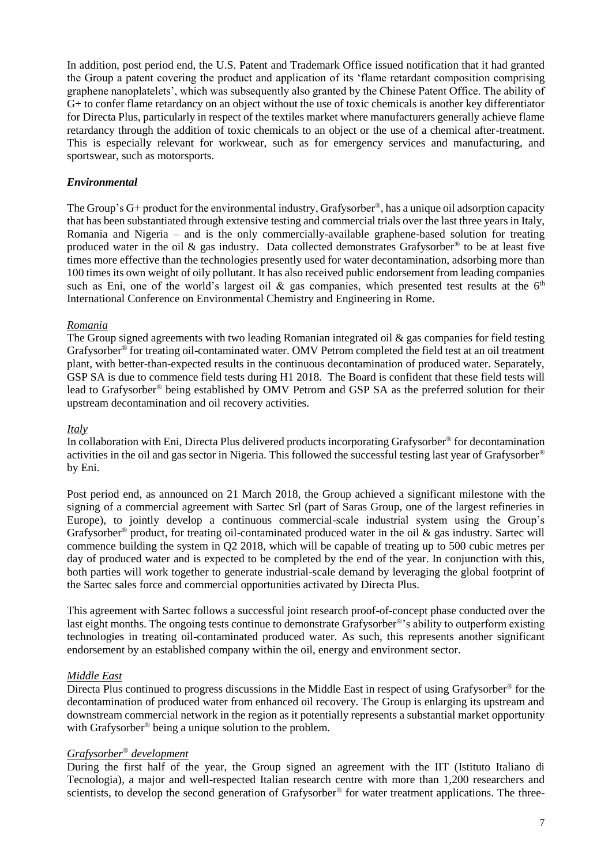In addition, post period end, the U.S. Patent and Trademark Office issued notification that it had granted the Group a patent covering the product and application of its 'flame retardant composition comprising graphene nanoplatelets', which was subsequently also granted by the Chinese Patent Office. The ability of G+ to confer flame retardancy on an object without the use of toxic chemicals is another key differentiator for Directa Plus, particularly in respect of the textiles market where manufacturers generally achieve flame retardancy through the addition of toxic chemicals to an object or the use of a chemical after-treatment. This is especially relevant for workwear, such as for emergency services and manufacturing, and sportswear, such as motorsports.

# *Environmental*

The Group's G+ product for the environmental industry, Grafysorber®, has a unique oil adsorption capacity that has been substantiated through extensive testing and commercial trials over the last three years in Italy, Romania and Nigeria – and is the only commercially-available graphene-based solution for treating produced water in the oil  $\&$  gas industry. Data collected demonstrates Grafysorber<sup>®</sup> to be at least five times more effective than the technologies presently used for water decontamination, adsorbing more than 100 times its own weight of oily pollutant. It has also received public endorsement from leading companies such as Eni, one of the world's largest oil  $\&$  gas companies, which presented test results at the 6<sup>th</sup> International Conference on Environmental Chemistry and Engineering in Rome.

# *Romania*

The Group signed agreements with two leading Romanian integrated oil  $\&$  gas companies for field testing Grafysorber® for treating oil-contaminated water. OMV Petrom completed the field test at an oil treatment plant, with better-than-expected results in the continuous decontamination of produced water. Separately, GSP SA is due to commence field tests during H1 2018. The Board is confident that these field tests will lead to Grafysorber® being established by OMV Petrom and GSP SA as the preferred solution for their upstream decontamination and oil recovery activities.

## *Italy*

In collaboration with Eni, Directa Plus delivered products incorporating Grafysorber® for decontamination activities in the oil and gas sector in Nigeria. This followed the successful testing last year of Grafysorber® by Eni.

Post period end, as announced on 21 March 2018, the Group achieved a significant milestone with the signing of a commercial agreement with Sartec Srl (part of Saras Group, one of the largest refineries in Europe), to jointly develop a continuous commercial-scale industrial system using the Group's Grafysorber® product, for treating oil-contaminated produced water in the oil & gas industry. Sartec will commence building the system in Q2 2018, which will be capable of treating up to 500 cubic metres per day of produced water and is expected to be completed by the end of the year. In conjunction with this, both parties will work together to generate industrial-scale demand by leveraging the global footprint of the Sartec sales force and commercial opportunities activated by Directa Plus.

This agreement with Sartec follows a successful joint research proof-of-concept phase conducted over the last eight months. The ongoing tests continue to demonstrate Grafysorber®'s ability to outperform existing technologies in treating oil-contaminated produced water. As such, this represents another significant endorsement by an established company within the oil, energy and environment sector.

# *Middle East*

Directa Plus continued to progress discussions in the Middle East in respect of using Grafysorber® for the decontamination of produced water from enhanced oil recovery. The Group is enlarging its upstream and downstream commercial network in the region as it potentially represents a substantial market opportunity with Grafysorber<sup>®</sup> being a unique solution to the problem.

# *Grafysorber® development*

During the first half of the year, the Group signed an agreement with the IIT (Istituto Italiano di Tecnologia), a major and well-respected Italian research centre with more than 1,200 researchers and scientists, to develop the second generation of Grafysorber<sup>®</sup> for water treatment applications. The three-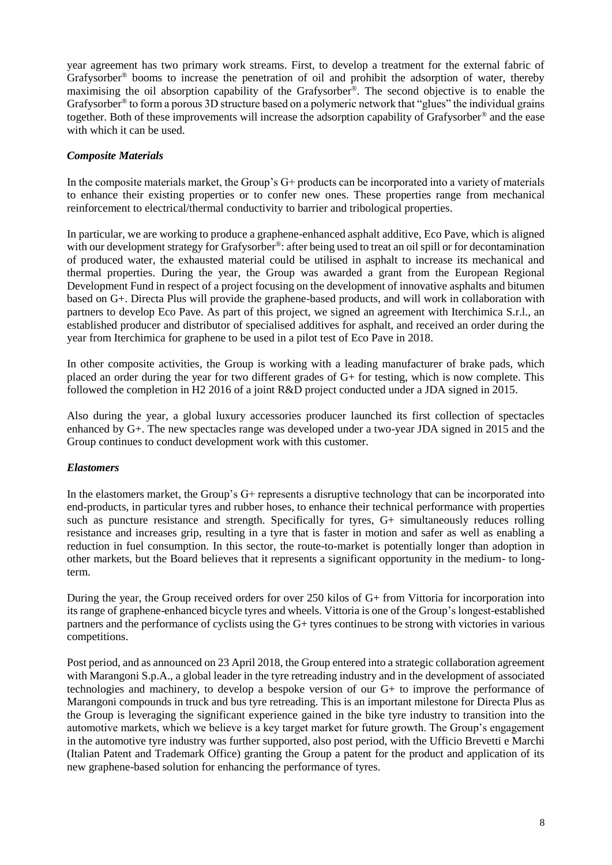year agreement has two primary work streams. First, to develop a treatment for the external fabric of Grafysorber® booms to increase the penetration of oil and prohibit the adsorption of water, thereby maximising the oil absorption capability of the Grafysorber®. The second objective is to enable the Grafysorber® to form a porous 3D structure based on a polymeric network that "glues" the individual grains together. Both of these improvements will increase the adsorption capability of Grafysorber® and the ease with which it can be used.

# *Composite Materials*

In the composite materials market, the Group's G+ products can be incorporated into a variety of materials to enhance their existing properties or to confer new ones. These properties range from mechanical reinforcement to electrical/thermal conductivity to barrier and tribological properties.

In particular, we are working to produce a graphene-enhanced asphalt additive, Eco Pave, which is aligned with our development strategy for Grafysorber<sup>®</sup>: after being used to treat an oil spill or for decontamination of produced water, the exhausted material could be utilised in asphalt to increase its mechanical and thermal properties. During the year, the Group was awarded a grant from the European Regional Development Fund in respect of a project focusing on the development of innovative asphalts and bitumen based on G+. Directa Plus will provide the graphene-based products, and will work in collaboration with partners to develop Eco Pave. As part of this project, we signed an agreement with Iterchimica S.r.l., an established producer and distributor of specialised additives for asphalt, and received an order during the year from Iterchimica for graphene to be used in a pilot test of Eco Pave in 2018.

In other composite activities, the Group is working with a leading manufacturer of brake pads, which placed an order during the year for two different grades of G+ for testing, which is now complete. This followed the completion in H2 2016 of a joint R&D project conducted under a JDA signed in 2015.

Also during the year, a global luxury accessories producer launched its first collection of spectacles enhanced by G+. The new spectacles range was developed under a two-year JDA signed in 2015 and the Group continues to conduct development work with this customer.

# *Elastomers*

In the elastomers market, the Group's G+ represents a disruptive technology that can be incorporated into end-products, in particular tyres and rubber hoses, to enhance their technical performance with properties such as puncture resistance and strength. Specifically for tyres, G+ simultaneously reduces rolling resistance and increases grip, resulting in a tyre that is faster in motion and safer as well as enabling a reduction in fuel consumption. In this sector, the route-to-market is potentially longer than adoption in other markets, but the Board believes that it represents a significant opportunity in the medium- to longterm.

During the year, the Group received orders for over 250 kilos of G+ from Vittoria for incorporation into its range of graphene-enhanced bicycle tyres and wheels. Vittoria is one of the Group's longest-established partners and the performance of cyclists using the G+ tyres continues to be strong with victories in various competitions.

Post period, and as announced on 23 April 2018, the Group entered into a strategic collaboration agreement with Marangoni S.p.A., a global leader in the tyre retreading industry and in the development of associated technologies and machinery, to develop a bespoke version of our G+ to improve the performance of Marangoni compounds in truck and bus tyre retreading. This is an important milestone for Directa Plus as the Group is leveraging the significant experience gained in the bike tyre industry to transition into the automotive markets, which we believe is a key target market for future growth. The Group's engagement in the automotive tyre industry was further supported, also post period, with the Ufficio Brevetti e Marchi (Italian Patent and Trademark Office) granting the Group a patent for the product and application of its new graphene-based solution for enhancing the performance of tyres.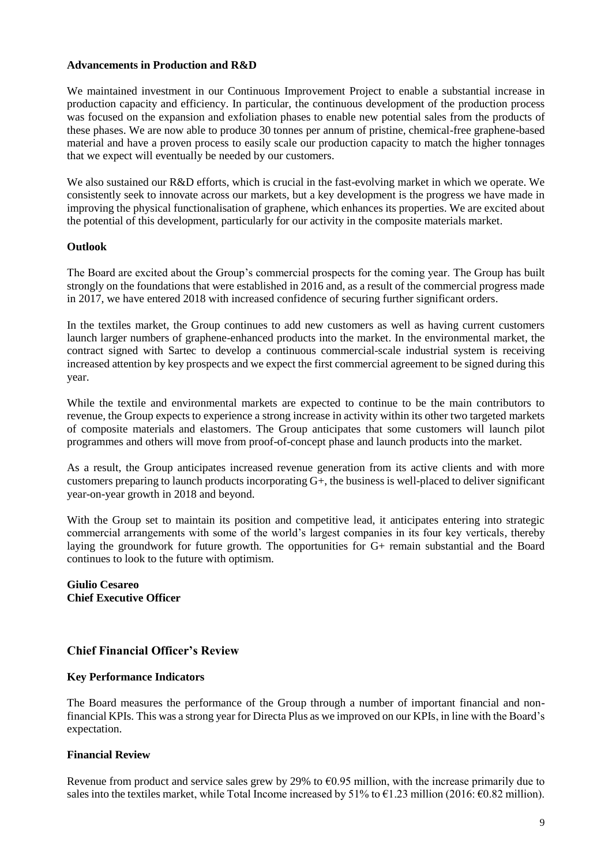# **Advancements in Production and R&D**

We maintained investment in our Continuous Improvement Project to enable a substantial increase in production capacity and efficiency. In particular, the continuous development of the production process was focused on the expansion and exfoliation phases to enable new potential sales from the products of these phases. We are now able to produce 30 tonnes per annum of pristine, chemical-free graphene-based material and have a proven process to easily scale our production capacity to match the higher tonnages that we expect will eventually be needed by our customers.

We also sustained our R&D efforts, which is crucial in the fast-evolving market in which we operate. We consistently seek to innovate across our markets, but a key development is the progress we have made in improving the physical functionalisation of graphene, which enhances its properties. We are excited about the potential of this development, particularly for our activity in the composite materials market.

# **Outlook**

The Board are excited about the Group's commercial prospects for the coming year. The Group has built strongly on the foundations that were established in 2016 and, as a result of the commercial progress made in 2017, we have entered 2018 with increased confidence of securing further significant orders.

In the textiles market, the Group continues to add new customers as well as having current customers launch larger numbers of graphene-enhanced products into the market. In the environmental market, the contract signed with Sartec to develop a continuous commercial-scale industrial system is receiving increased attention by key prospects and we expect the first commercial agreement to be signed during this year.

While the textile and environmental markets are expected to continue to be the main contributors to revenue, the Group expects to experience a strong increase in activity within its other two targeted markets of composite materials and elastomers. The Group anticipates that some customers will launch pilot programmes and others will move from proof-of-concept phase and launch products into the market.

As a result, the Group anticipates increased revenue generation from its active clients and with more customers preparing to launch products incorporating  $G<sup>+</sup>$ , the business is well-placed to deliver significant year-on-year growth in 2018 and beyond.

With the Group set to maintain its position and competitive lead, it anticipates entering into strategic commercial arrangements with some of the world's largest companies in its four key verticals, thereby laying the groundwork for future growth. The opportunities for G+ remain substantial and the Board continues to look to the future with optimism.

# **Giulio Cesareo Chief Executive Officer**

# **Chief Financial Officer's Review**

# **Key Performance Indicators**

The Board measures the performance of the Group through a number of important financial and nonfinancial KPIs. This was a strong year for Directa Plus as we improved on our KPIs, in line with the Board's expectation.

# **Financial Review**

Revenue from product and service sales grew by 29% to  $60.95$  million, with the increase primarily due to sales into the textiles market, while Total Income increased by  $51\%$  to  $\epsilon$ 1.23 million (2016:  $\epsilon$ 0.82 million).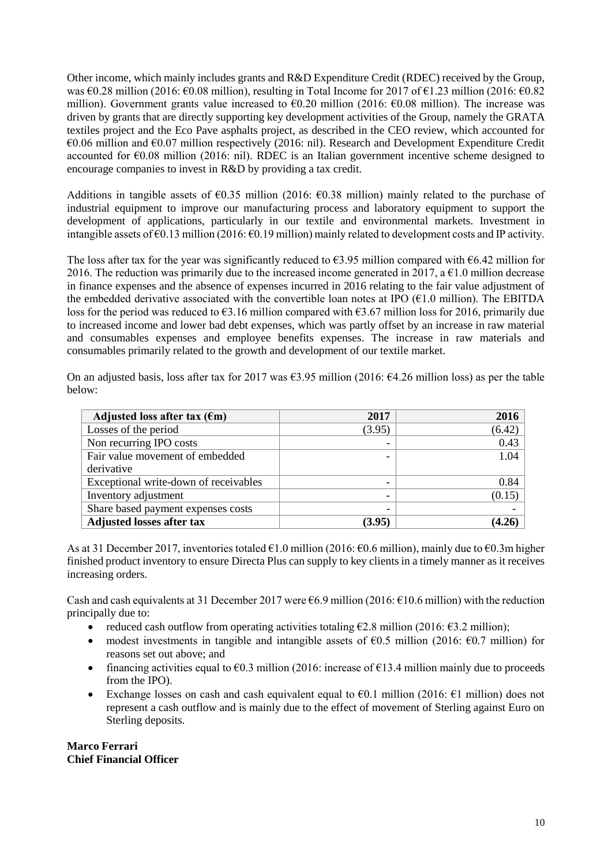Other income, which mainly includes grants and R&D Expenditure Credit (RDEC) received by the Group, was €0.28 million (2016: €0.08 million), resulting in Total Income for 2017 of €1.23 million (2016: €0.82 million). Government grants value increased to  $60.20$  million (2016:  $60.08$  million). The increase was driven by grants that are directly supporting key development activities of the Group, namely the GRATA textiles project and the Eco Pave asphalts project, as described in the CEO review, which accounted for €0.06 million and €0.07 million respectively (2016: nil). Research and Development Expenditure Credit accounted for €0.08 million (2016: nil). RDEC is an Italian government incentive scheme designed to encourage companies to invest in [R&D](https://en.wikipedia.org/wiki/R%26D) by providing a tax credit.

Additions in tangible assets of  $\epsilon$ 0.35 million (2016:  $\epsilon$ 0.38 million) mainly related to the purchase of industrial equipment to improve our manufacturing process and laboratory equipment to support the development of applications, particularly in our textile and environmental markets. Investment in intangible assets of €0.13 million (2016: €0.19 million) mainly related to development costs and IP activity.

The loss after tax for the year was significantly reduced to  $\epsilon$ 3.95 million compared with  $\epsilon$ 6.42 million for 2016. The reduction was primarily due to the increased income generated in 2017, a  $\epsilon$ 1.0 million decrease in finance expenses and the absence of expenses incurred in 2016 relating to the fair value adjustment of the embedded derivative associated with the convertible loan notes at IPO  $(61.0 \text{ million})$ . The EBITDA loss for the period was reduced to  $\epsilon$ 3.16 million compared with  $\epsilon$ 3.67 million loss for 2016, primarily due to increased income and lower bad debt expenses, which was partly offset by an increase in raw material and consumables expenses and employee benefits expenses. The increase in raw materials and consumables primarily related to the growth and development of our textile market.

On an adjusted basis, loss after tax for 2017 was  $\epsilon$ 3.95 million (2016:  $\epsilon$ 4.26 million loss) as per the table below:

| Adjusted loss after tax $(\epsilon m)$ | 2017                     | 2016   |
|----------------------------------------|--------------------------|--------|
| Losses of the period                   | (3.95)                   | (6.42) |
| Non recurring IPO costs                |                          | 0.43   |
| Fair value movement of embedded        |                          | 1.04   |
| derivative                             |                          |        |
| Exceptional write-down of receivables  | -                        | 0.84   |
| Inventory adjustment                   | $\overline{\phantom{0}}$ | (0.15) |
| Share based payment expenses costs     | -                        |        |
| <b>Adjusted losses after tax</b>       | (3.95)                   | 4.26   |

As at 31 December 2017, inventories totaled €1.0 million (2016: €0.6 million), mainly due to €0.3m higher finished product inventory to ensure Directa Plus can supply to key clients in a timely manner as it receives increasing orders.

Cash and cash equivalents at 31 December 2017 were  $6.9$  million (2016:  $610.6$  million) with the reduction principally due to:

- reduced cash outflow from operating activities totaling  $\epsilon$ 2.8 million (2016:  $\epsilon$ 3.2 million);
- modest investments in tangible and intangible assets of  $\epsilon$ 0.5 million (2016:  $\epsilon$ 0.7 million) for reasons set out above; and
- financing activities equal to  $\epsilon$ 0.3 million (2016: increase of  $\epsilon$ 13.4 million mainly due to proceeds from the IPO).
- Exchange losses on cash and cash equivalent equal to  $\epsilon$ 0.1 million (2016:  $\epsilon$ 1 million) does not represent a cash outflow and is mainly due to the effect of movement of Sterling against Euro on Sterling deposits.

**Marco Ferrari Chief Financial Officer**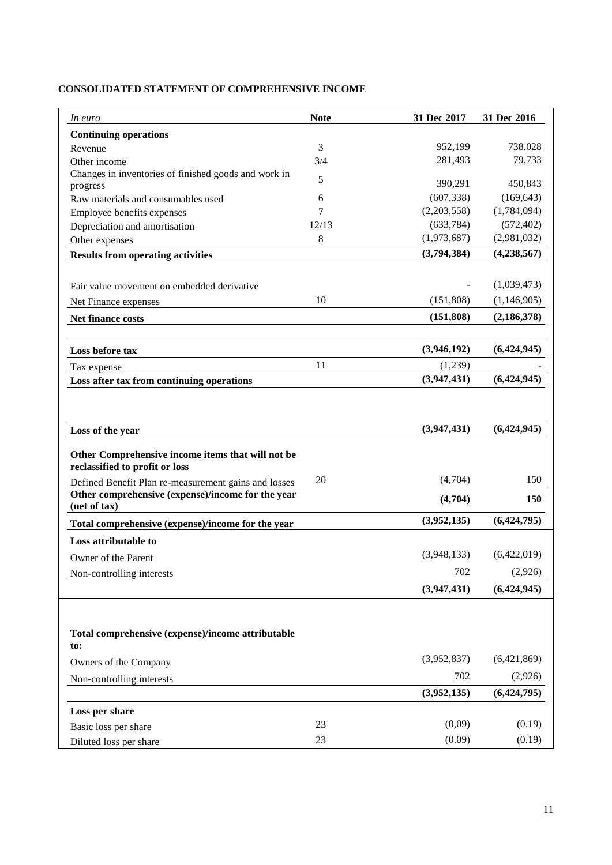| In euro                                                                             | <b>Note</b> | 31 Dec 2017 | 31 Dec 2016   |
|-------------------------------------------------------------------------------------|-------------|-------------|---------------|
| <b>Continuing operations</b>                                                        |             |             |               |
| Revenue                                                                             | 3           | 952,199     | 738,028       |
| Other income                                                                        | 3/4         | 281,493     | 79,733        |
| Changes in inventories of finished goods and work in<br>progress                    | 5           | 390,291     | 450,843       |
| Raw materials and consumables used                                                  | 6           | (607, 338)  | (169, 643)    |
| Employee benefits expenses                                                          | 7           | (2,203,558) | (1,784,094)   |
| Depreciation and amortisation                                                       | 12/13       | (633, 784)  | (572, 402)    |
| Other expenses                                                                      | 8           | (1,973,687) | (2,981,032)   |
| <b>Results from operating activities</b>                                            |             | (3,794,384) | (4, 238, 567) |
|                                                                                     |             |             |               |
| Fair value movement on embedded derivative                                          |             |             | (1,039,473)   |
| Net Finance expenses                                                                | 10          | (151,808)   | (1,146,905)   |
| Net finance costs                                                                   |             | (151, 808)  | (2, 186, 378) |
|                                                                                     |             |             |               |
| Loss before tax                                                                     |             | (3,946,192) | (6,424,945)   |
| Tax expense                                                                         | 11          | (1,239)     |               |
| Loss after tax from continuing operations                                           |             | (3,947,431) | (6,424,945)   |
| Loss of the year                                                                    |             | (3,947,431) | (6,424,945)   |
| Other Comprehensive income items that will not be<br>reclassified to profit or loss |             |             |               |
| Defined Benefit Plan re-measurement gains and losses                                | 20          | (4,704)     | 150           |
| Other comprehensive (expense)/income for the year<br>(net of tax)                   |             | (4,704)     | 150           |
| Total comprehensive (expense)/income for the year                                   |             | (3,952,135) | (6,424,795)   |
| Loss attributable to                                                                |             |             |               |
| Owner of the Parent                                                                 |             | (3,948,133) | (6,422,019)   |
| Non-controlling interests                                                           |             | 702         | (2,926)       |
|                                                                                     |             | (3,947,431) | (6,424,945)   |
|                                                                                     |             |             |               |
| Total comprehensive (expense)/income attributable<br>to:                            |             |             |               |
| Owners of the Company                                                               |             | (3,952,837) | (6,421,869)   |
| Non-controlling interests                                                           |             | 702         | (2,926)       |
|                                                                                     |             | (3,952,135) | (6,424,795)   |
| Loss per share                                                                      |             |             |               |
| Basic loss per share                                                                | 23          | (0,09)      | (0.19)        |
| Diluted loss per share                                                              | 23          | (0.09)      | (0.19)        |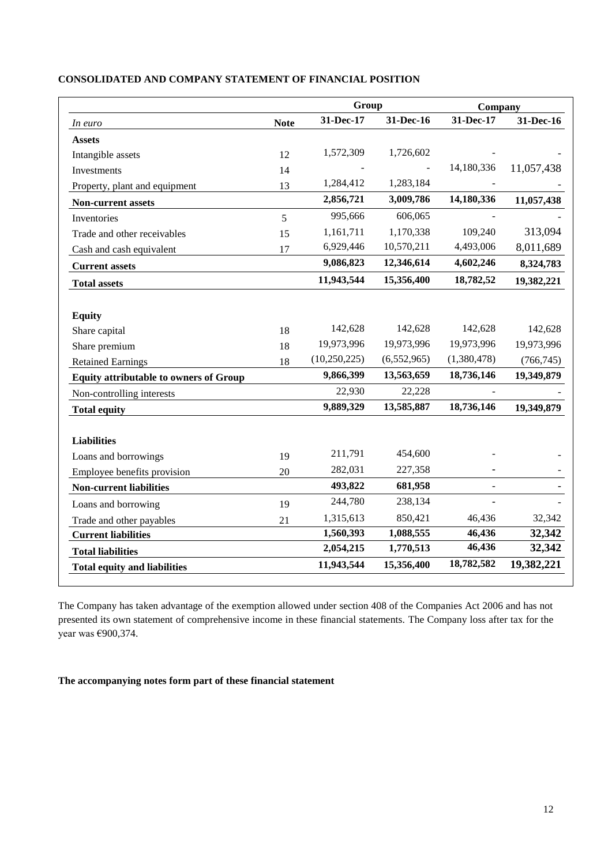|                                               |             | Group          |             | Company     |            |
|-----------------------------------------------|-------------|----------------|-------------|-------------|------------|
| In euro                                       | <b>Note</b> | 31-Dec-17      | 31-Dec-16   | 31-Dec-17   | 31-Dec-16  |
| <b>Assets</b>                                 |             |                |             |             |            |
| Intangible assets                             | 12          | 1,572,309      | 1,726,602   |             |            |
| Investments                                   | 14          |                |             | 14,180,336  | 11,057,438 |
| Property, plant and equipment                 | 13          | 1,284,412      | 1,283,184   |             |            |
| Non-current assets                            |             | 2,856,721      | 3,009,786   | 14,180,336  | 11,057,438 |
| Inventories                                   | 5           | 995,666        | 606,065     |             |            |
| Trade and other receivables                   | 15          | 1,161,711      | 1,170,338   | 109,240     | 313,094    |
| Cash and cash equivalent                      | 17          | 6,929,446      | 10,570,211  | 4,493,006   | 8,011,689  |
| <b>Current assets</b>                         |             | 9,086,823      | 12,346,614  | 4,602,246   | 8,324,783  |
| <b>Total assets</b>                           |             | 11,943,544     | 15,356,400  | 18,782,52   | 19,382,221 |
|                                               |             |                |             |             |            |
| <b>Equity</b>                                 |             |                |             |             |            |
| Share capital                                 | 18          | 142,628        | 142,628     | 142,628     | 142,628    |
| Share premium                                 | 18          | 19,973,996     | 19,973,996  | 19,973,996  | 19,973,996 |
| <b>Retained Earnings</b>                      | 18          | (10, 250, 225) | (6,552,965) | (1,380,478) | (766, 745) |
| <b>Equity attributable to owners of Group</b> |             | 9,866,399      | 13,563,659  | 18,736,146  | 19,349,879 |
| Non-controlling interests                     |             | 22,930         | 22,228      |             |            |
| <b>Total equity</b>                           |             | 9,889,329      | 13,585,887  | 18,736,146  | 19,349,879 |
| <b>Liabilities</b>                            |             |                |             |             |            |
| Loans and borrowings                          | 19          | 211,791        | 454,600     |             |            |
| Employee benefits provision                   | 20          | 282,031        | 227,358     |             |            |
| <b>Non-current liabilities</b>                |             | 493,822        | 681,958     | ÷.          |            |
| Loans and borrowing                           | 19          | 244,780        | 238,134     |             |            |
| Trade and other payables                      | 21          | 1,315,613      | 850,421     | 46,436      | 32,342     |
| <b>Current liabilities</b>                    |             | 1,560,393      | 1,088,555   | 46,436      | 32,342     |
| <b>Total liabilities</b>                      |             | 2,054,215      | 1,770,513   | 46,436      | 32,342     |
| <b>Total equity and liabilities</b>           |             | 11,943,544     | 15,356,400  | 18,782,582  | 19,382,221 |

## **CONSOLIDATED AND COMPANY STATEMENT OF FINANCIAL POSITION**

The Company has taken advantage of the exemption allowed under section 408 of the Companies Act 2006 and has not presented its own statement of comprehensive income in these financial statements. The Company loss after tax for the year was €900,374.

**The accompanying notes form part of these financial statement**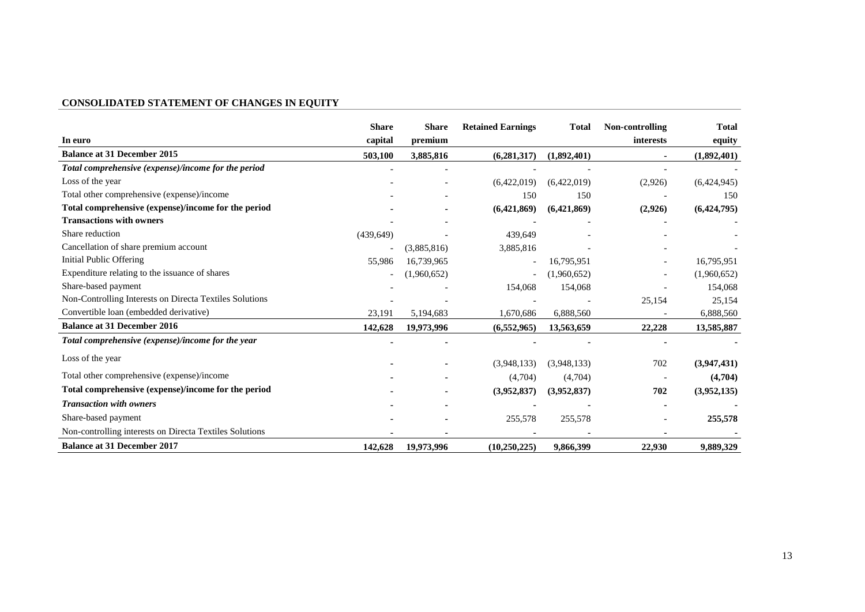# **CONSOLIDATED STATEMENT OF CHANGES IN EQUITY**

|                                                         | <b>Share</b> | <b>Share</b> | <b>Retained Earnings</b> | <b>Total</b> | Non-controlling | <b>Total</b> |
|---------------------------------------------------------|--------------|--------------|--------------------------|--------------|-----------------|--------------|
| In euro                                                 | capital      | premium      |                          |              | interests       | equity       |
| <b>Balance at 31 December 2015</b>                      | 503,100      | 3,885,816    | (6,281,317)              | (1,892,401)  | ٠.              | (1,892,401)  |
| Total comprehensive (expense)/income for the period     |              |              |                          |              |                 |              |
| Loss of the year                                        |              |              | (6,422,019)              | (6,422,019)  | (2,926)         | (6,424,945)  |
| Total other comprehensive (expense)/income              |              |              | 150                      | 150          |                 | 150          |
| Total comprehensive (expense)/income for the period     |              |              | (6,421,869)              | (6,421,869)  | (2,926)         | (6,424,795)  |
| <b>Transactions with owners</b>                         |              |              |                          |              |                 |              |
| Share reduction                                         | (439, 649)   |              | 439,649                  |              |                 |              |
| Cancellation of share premium account                   |              | (3,885,816)  | 3,885,816                |              |                 |              |
| <b>Initial Public Offering</b>                          | 55,986       | 16,739,965   |                          | 16,795,951   |                 | 16,795,951   |
| Expenditure relating to the issuance of shares          |              | (1,960,652)  |                          | (1,960,652)  |                 | (1,960,652)  |
| Share-based payment                                     |              |              | 154,068                  | 154,068      |                 | 154,068      |
| Non-Controlling Interests on Directa Textiles Solutions |              |              |                          |              | 25,154          | 25,154       |
| Convertible loan (embedded derivative)                  | 23,191       | 5,194,683    | 1,670,686                | 6,888,560    |                 | 6,888,560    |
| <b>Balance at 31 December 2016</b>                      | 142,628      | 19,973,996   | (6,552,965)              | 13,563,659   | 22,228          | 13,585,887   |
| Total comprehensive (expense)/income for the year       |              |              |                          |              |                 |              |
| Loss of the year                                        |              |              | (3,948,133)              | (3,948,133)  | 702             | (3,947,431)  |
| Total other comprehensive (expense)/income              |              |              | (4,704)                  | (4,704)      |                 | (4,704)      |
| Total comprehensive (expense)/income for the period     |              |              | (3,952,837)              | (3,952,837)  | 702             | (3,952,135)  |
| <b>Transaction with owners</b>                          |              |              |                          |              |                 |              |
| Share-based payment                                     |              |              | 255,578                  | 255,578      |                 | 255,578      |
| Non-controlling interests on Directa Textiles Solutions |              |              |                          |              |                 |              |
| <b>Balance at 31 December 2017</b>                      | 142,628      | 19,973,996   | (10,250,225)             | 9,866,399    | 22,930          | 9,889,329    |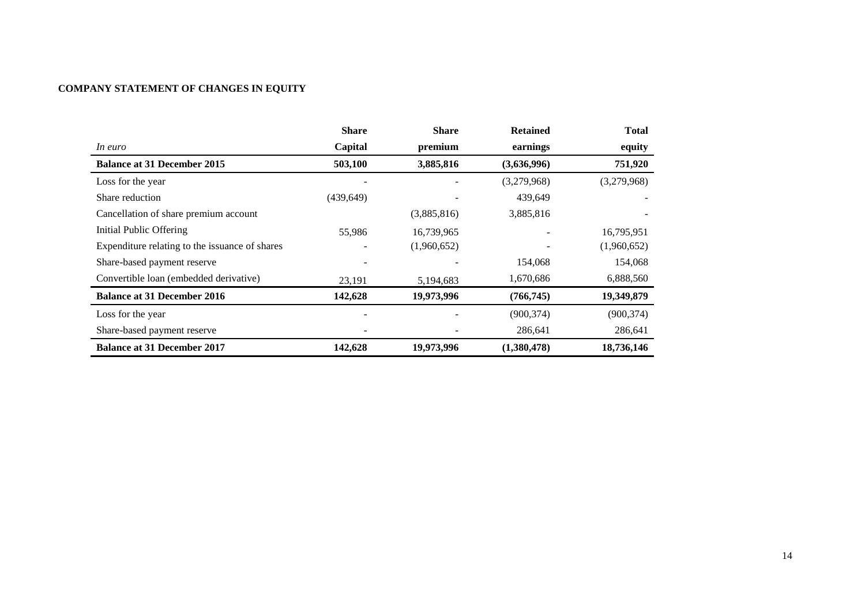# **COMPANY STATEMENT OF CHANGES IN EQUITY**

|                                                | <b>Share</b>    | <b>Share</b> | <b>Retained</b> | <b>Total</b> |
|------------------------------------------------|-----------------|--------------|-----------------|--------------|
| In euro                                        | Capital         | premium      | earnings        | equity       |
| <b>Balance at 31 December 2015</b>             | 503,100         | 3,885,816    | (3,636,996)     | 751,920      |
| Loss for the year                              |                 |              | (3,279,968)     | (3,279,968)  |
| Share reduction                                | (439, 649)      |              | 439,649         |              |
| Cancellation of share premium account          |                 | (3,885,816)  | 3,885,816       |              |
| <b>Initial Public Offering</b>                 | 55,986          | 16,739,965   |                 | 16,795,951   |
| Expenditure relating to the issuance of shares |                 | (1,960,652)  |                 | (1,960,652)  |
| Share-based payment reserve                    | $\qquad \qquad$ |              | 154,068         | 154,068      |
| Convertible loan (embedded derivative)         | 23,191          | 5,194,683    | 1,670,686       | 6,888,560    |
| <b>Balance at 31 December 2016</b>             | 142,628         | 19,973,996   | (766, 745)      | 19,349,879   |
| Loss for the year                              |                 |              | (900, 374)      | (900, 374)   |
| Share-based payment reserve                    |                 |              | 286,641         | 286,641      |
| <b>Balance at 31 December 2017</b>             | 142,628         | 19,973,996   | (1,380,478)     | 18,736,146   |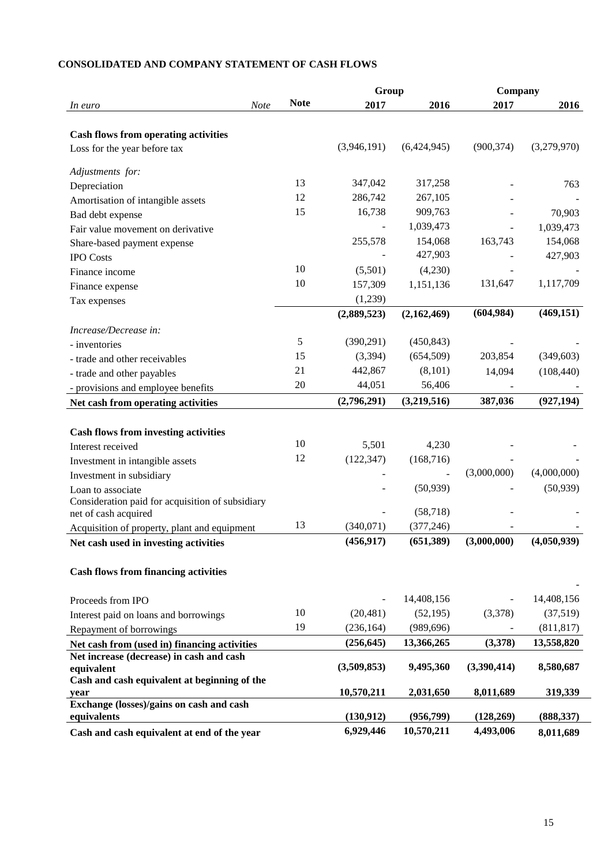|                                                                             |      |             | Group                    |             | Company     |             |
|-----------------------------------------------------------------------------|------|-------------|--------------------------|-------------|-------------|-------------|
| In euro                                                                     | Note | <b>Note</b> | 2017                     | 2016        | 2017        | 2016        |
|                                                                             |      |             |                          |             |             |             |
| <b>Cash flows from operating activities</b><br>Loss for the year before tax |      |             | (3,946,191)              | (6,424,945) | (900, 374)  | (3,279,970) |
|                                                                             |      |             |                          |             |             |             |
| Adjustments for:                                                            |      |             |                          |             |             |             |
| Depreciation                                                                |      | 13          | 347,042                  | 317,258     |             | 763         |
| Amortisation of intangible assets                                           |      | 12          | 286,742                  | 267,105     |             |             |
| Bad debt expense                                                            |      | 15          | 16,738                   | 909,763     |             | 70,903      |
| Fair value movement on derivative                                           |      |             |                          | 1,039,473   |             | 1,039,473   |
| Share-based payment expense                                                 |      |             | 255,578                  | 154,068     | 163,743     | 154,068     |
| <b>IPO</b> Costs                                                            |      |             |                          | 427,903     |             | 427,903     |
| Finance income                                                              |      | 10          | (5,501)                  | (4,230)     |             |             |
| Finance expense                                                             |      | 10          | 157,309                  | 1,151,136   | 131,647     | 1,117,709   |
| Tax expenses                                                                |      |             | (1,239)                  |             |             |             |
|                                                                             |      |             | (2,889,523)              | (2,162,469) | (604, 984)  | (469, 151)  |
| Increase/Decrease in:                                                       |      |             |                          |             |             |             |
| - inventories                                                               |      | 5           | (390, 291)               | (450, 843)  |             |             |
| - trade and other receivables                                               |      | 15          | (3, 394)                 | (654, 509)  | 203,854     | (349, 603)  |
| - trade and other payables                                                  |      | 21          | 442,867                  | (8,101)     | 14,094      | (108, 440)  |
| - provisions and employee benefits                                          |      | 20          | 44,051                   | 56,406      |             |             |
| Net cash from operating activities                                          |      |             | (2,796,291)              | (3,219,516) | 387,036     | (927, 194)  |
|                                                                             |      |             |                          |             |             |             |
| <b>Cash flows from investing activities</b>                                 |      |             |                          |             |             |             |
| Interest received                                                           |      | 10          | 5,501                    | 4,230       |             |             |
| Investment in intangible assets                                             |      | 12          | (122, 347)               | (168, 716)  |             |             |
| Investment in subsidiary                                                    |      |             |                          |             | (3,000,000) | (4,000,000) |
| Loan to associate                                                           |      |             |                          | (50, 939)   |             | (50, 939)   |
| Consideration paid for acquisition of subsidiary                            |      |             |                          |             |             |             |
| net of cash acquired                                                        |      |             |                          | (58, 718)   |             |             |
| Acquisition of property, plant and equipment                                |      | 13          | (340,071)                | (377, 246)  |             |             |
| Net cash used in investing activities                                       |      |             | (456, 917)               | (651, 389)  | (3,000,000) | (4,050,939) |
|                                                                             |      |             |                          |             |             |             |
| <b>Cash flows from financing activities</b>                                 |      |             |                          |             |             |             |
|                                                                             |      |             |                          | 14,408,156  |             | 14,408,156  |
| Proceeds from IPO                                                           |      | 10          | $\overline{\phantom{a}}$ |             |             |             |
| Interest paid on loans and borrowings                                       |      |             | (20, 481)                | (52, 195)   | (3,378)     | (37,519)    |
| Repayment of borrowings                                                     |      | 19          | (236, 164)               | (989, 696)  |             | (811, 817)  |
| Net cash from (used in) financing activities                                |      |             | (256, 645)               | 13,366,265  | (3,378)     | 13,558,820  |
| Net increase (decrease) in cash and cash<br>equivalent                      |      |             | (3,509,853)              | 9,495,360   | (3,390,414) | 8,580,687   |
| Cash and cash equivalent at beginning of the                                |      |             |                          |             |             |             |
| year                                                                        |      |             | 10,570,211               | 2,031,650   | 8,011,689   | 319,339     |
| Exchange (losses)/gains on cash and cash                                    |      |             |                          |             |             |             |
| equivalents                                                                 |      |             | (130,912)                | (956,799)   | (128, 269)  | (888, 337)  |
| Cash and cash equivalent at end of the year                                 |      |             | 6,929,446                | 10,570,211  | 4,493,006   | 8,011,689   |

# **CONSOLIDATED AND COMPANY STATEMENT OF CASH FLOWS**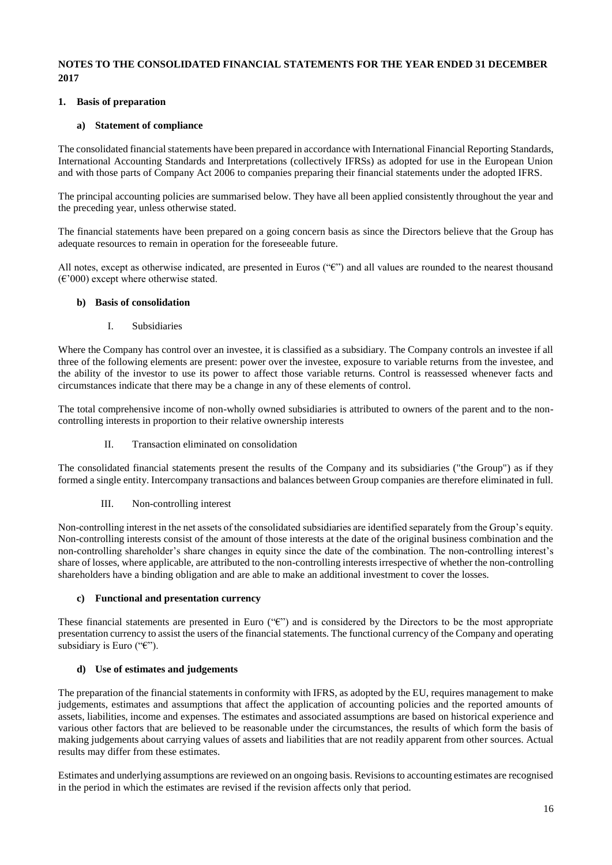## **NOTES TO THE CONSOLIDATED FINANCIAL STATEMENTS FOR THE YEAR ENDED 31 DECEMBER 2017**

## **1. Basis of preparation**

## **a) Statement of compliance**

The consolidated financial statements have been prepared in accordance with International Financial Reporting Standards, International Accounting Standards and Interpretations (collectively IFRSs) as adopted for use in the European Union and with those parts of Company Act 2006 to companies preparing their financial statements under the adopted IFRS.

The principal accounting policies are summarised below. They have all been applied consistently throughout the year and the preceding year, unless otherwise stated.

The financial statements have been prepared on a going concern basis as since the Directors believe that the Group has adequate resources to remain in operation for the foreseeable future.

All notes, except as otherwise indicated, are presented in Euros ("€") and all values are rounded to the nearest thousand  $(\text{\textsterling} 000)$  except where otherwise stated.

## **b) Basis of consolidation**

I. Subsidiaries

Where the Company has control over an investee, it is classified as a subsidiary. The Company controls an investee if all three of the following elements are present: power over the investee, exposure to variable returns from the investee, and the ability of the investor to use its power to affect those variable returns. Control is reassessed whenever facts and circumstances indicate that there may be a change in any of these elements of control.

The total comprehensive income of non-wholly owned subsidiaries is attributed to owners of the parent and to the noncontrolling interests in proportion to their relative ownership interests

II. Transaction eliminated on consolidation

The consolidated financial statements present the results of the Company and its subsidiaries ("the Group") as if they formed a single entity. Intercompany transactions and balances between Group companies are therefore eliminated in full.

## III. Non-controlling interest

Non-controlling interest in the net assets of the consolidated subsidiaries are identified separately from the Group's equity. Non-controlling interests consist of the amount of those interests at the date of the original business combination and the non-controlling shareholder's share changes in equity since the date of the combination. The non-controlling interest's share of losses, where applicable, are attributed to the non-controlling interests irrespective of whether the non-controlling shareholders have a binding obligation and are able to make an additional investment to cover the losses.

## **c) Functional and presentation currency**

These financial statements are presented in Euro  $(\mathscr{C})$  and is considered by the Directors to be the most appropriate presentation currency to assist the users of the financial statements. The functional currency of the Company and operating subsidiary is Euro (" $\varepsilon$ ").

## **d) Use of estimates and judgements**

The preparation of the financial statements in conformity with IFRS, as adopted by the EU, requires management to make judgements, estimates and assumptions that affect the application of accounting policies and the reported amounts of assets, liabilities, income and expenses. The estimates and associated assumptions are based on historical experience and various other factors that are believed to be reasonable under the circumstances, the results of which form the basis of making judgements about carrying values of assets and liabilities that are not readily apparent from other sources. Actual results may differ from these estimates.

Estimates and underlying assumptions are reviewed on an ongoing basis. Revisions to accounting estimates are recognised in the period in which the estimates are revised if the revision affects only that period.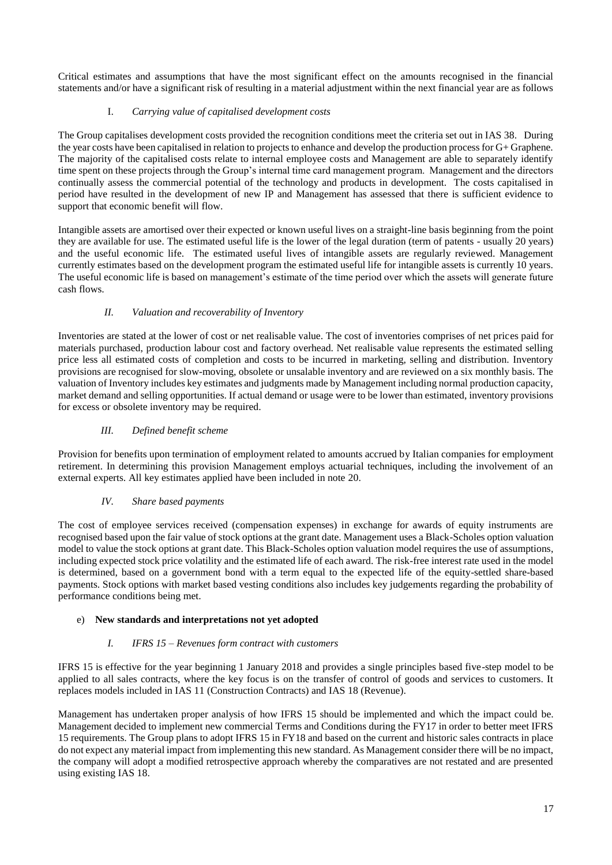Critical estimates and assumptions that have the most significant effect on the amounts recognised in the financial statements and/or have a significant risk of resulting in a material adjustment within the next financial year are as follows

## I. *Carrying value of capitalised development costs*

The Group capitalises development costs provided the recognition conditions meet the criteria set out in IAS 38. During the year costs have been capitalised in relation to projects to enhance and develop the production process for G+ Graphene. The majority of the capitalised costs relate to internal employee costs and Management are able to separately identify time spent on these projects through the Group's internal time card management program. Management and the directors continually assess the commercial potential of the technology and products in development. The costs capitalised in period have resulted in the development of new IP and Management has assessed that there is sufficient evidence to support that economic benefit will flow.

Intangible assets are amortised over their expected or known useful lives on a straight-line basis beginning from the point they are available for use. The estimated useful life is the lower of the legal duration (term of patents - usually 20 years) and the useful economic life. The estimated useful lives of intangible assets are regularly reviewed. Management currently estimates based on the development program the estimated useful life for intangible assets is currently 10 years. The useful economic life is based on management's estimate of the time period over which the assets will generate future cash flows.

## *II. Valuation and recoverability of Inventory*

Inventories are stated at the lower of cost or net realisable value. The cost of inventories comprises of net prices paid for materials purchased, production labour cost and factory overhead. Net realisable value represents the estimated selling price less all estimated costs of completion and costs to be incurred in marketing, selling and distribution. Inventory provisions are recognised for slow-moving, obsolete or unsalable inventory and are reviewed on a six monthly basis. The valuation of Inventory includes key estimates and judgments made by Management including normal production capacity, market demand and selling opportunities. If actual demand or usage were to be lower than estimated, inventory provisions for excess or obsolete inventory may be required.

## *III. Defined benefit scheme*

Provision for benefits upon termination of employment related to amounts accrued by Italian companies for employment retirement. In determining this provision Management employs actuarial techniques, including the involvement of an external experts. All key estimates applied have been included in note 20.

## *IV. Share based payments*

The cost of employee services received (compensation expenses) in exchange for awards of equity instruments are recognised based upon the fair value of stock options at the grant date. Management uses a Black-Scholes option valuation model to value the stock options at grant date. This Black-Scholes option valuation model requires the use of assumptions, including expected stock price volatility and the estimated life of each award. The risk-free interest rate used in the model is determined, based on a government bond with a term equal to the expected life of the equity-settled share-based payments. Stock options with market based vesting conditions also includes key judgements regarding the probability of performance conditions being met.

## e) **New standards and interpretations not yet adopted**

## *I. IFRS 15 – Revenues form contract with customers*

IFRS 15 is effective for the year beginning 1 January 2018 and provides a single principles based five-step model to be applied to all sales contracts, where the key focus is on the transfer of control of goods and services to customers. It replaces models included in IAS 11 (Construction Contracts) and IAS 18 (Revenue).

Management has undertaken proper analysis of how IFRS 15 should be implemented and which the impact could be. Management decided to implement new commercial Terms and Conditions during the FY17 in order to better meet IFRS 15 requirements. The Group plans to adopt IFRS 15 in FY18 and based on the current and historic sales contracts in place do not expect any material impact from implementing this new standard. As Management consider there will be no impact, the company will adopt a modified retrospective approach whereby the comparatives are not restated and are presented using existing IAS 18.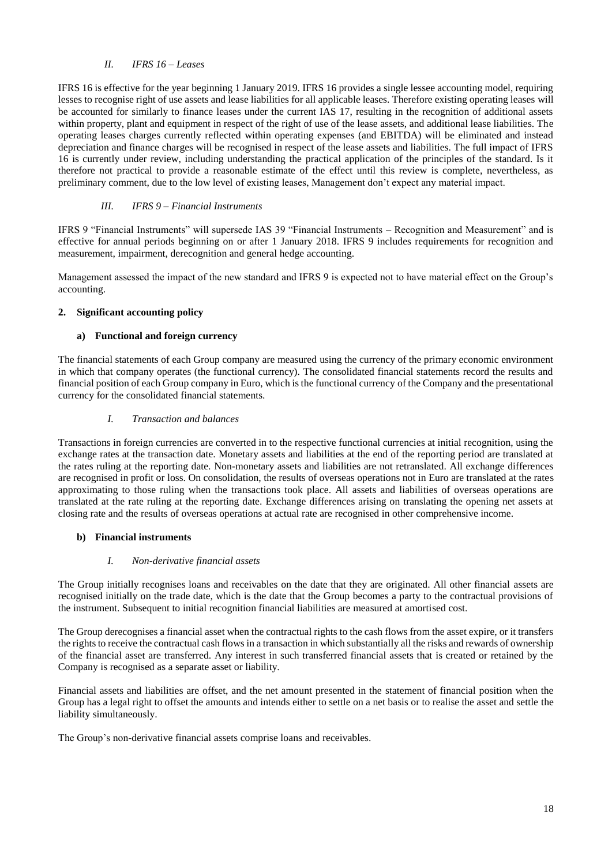## *II. IFRS 16 – Leases*

IFRS 16 is effective for the year beginning 1 January 2019. IFRS 16 provides a single lessee accounting model, requiring lesses to recognise right of use assets and lease liabilities for all applicable leases. Therefore existing operating leases will be accounted for similarly to finance leases under the current IAS 17, resulting in the recognition of additional assets within property, plant and equipment in respect of the right of use of the lease assets, and additional lease liabilities. The operating leases charges currently reflected within operating expenses (and EBITDA) will be eliminated and instead depreciation and finance charges will be recognised in respect of the lease assets and liabilities. The full impact of IFRS 16 is currently under review, including understanding the practical application of the principles of the standard. Is it therefore not practical to provide a reasonable estimate of the effect until this review is complete, nevertheless, as preliminary comment, due to the low level of existing leases, Management don't expect any material impact.

## *III. IFRS 9 – Financial Instruments*

IFRS 9 "Financial Instruments" will supersede IAS 39 "Financial Instruments – Recognition and Measurement" and is effective for annual periods beginning on or after 1 January 2018. IFRS 9 includes requirements for recognition and measurement, impairment, derecognition and general hedge accounting.

Management assessed the impact of the new standard and IFRS 9 is expected not to have material effect on the Group's accounting.

## **2. Significant accounting policy**

## **a) Functional and foreign currency**

The financial statements of each Group company are measured using the currency of the primary economic environment in which that company operates (the functional currency). The consolidated financial statements record the results and financial position of each Group company in Euro, which is the functional currency of the Company and the presentational currency for the consolidated financial statements.

## *I. Transaction and balances*

Transactions in foreign currencies are converted in to the respective functional currencies at initial recognition, using the exchange rates at the transaction date. Monetary assets and liabilities at the end of the reporting period are translated at the rates ruling at the reporting date. Non-monetary assets and liabilities are not retranslated. All exchange differences are recognised in profit or loss. On consolidation, the results of overseas operations not in Euro are translated at the rates approximating to those ruling when the transactions took place. All assets and liabilities of overseas operations are translated at the rate ruling at the reporting date. Exchange differences arising on translating the opening net assets at closing rate and the results of overseas operations at actual rate are recognised in other comprehensive income.

## **b) Financial instruments**

## *I. Non-derivative financial assets*

The Group initially recognises loans and receivables on the date that they are originated. All other financial assets are recognised initially on the trade date, which is the date that the Group becomes a party to the contractual provisions of the instrument. Subsequent to initial recognition financial liabilities are measured at amortised cost.

The Group derecognises a financial asset when the contractual rights to the cash flows from the asset expire, or it transfers the rights to receive the contractual cash flows in a transaction in which substantially all the risks and rewards of ownership of the financial asset are transferred. Any interest in such transferred financial assets that is created or retained by the Company is recognised as a separate asset or liability.

Financial assets and liabilities are offset, and the net amount presented in the statement of financial position when the Group has a legal right to offset the amounts and intends either to settle on a net basis or to realise the asset and settle the liability simultaneously.

The Group's non-derivative financial assets comprise loans and receivables.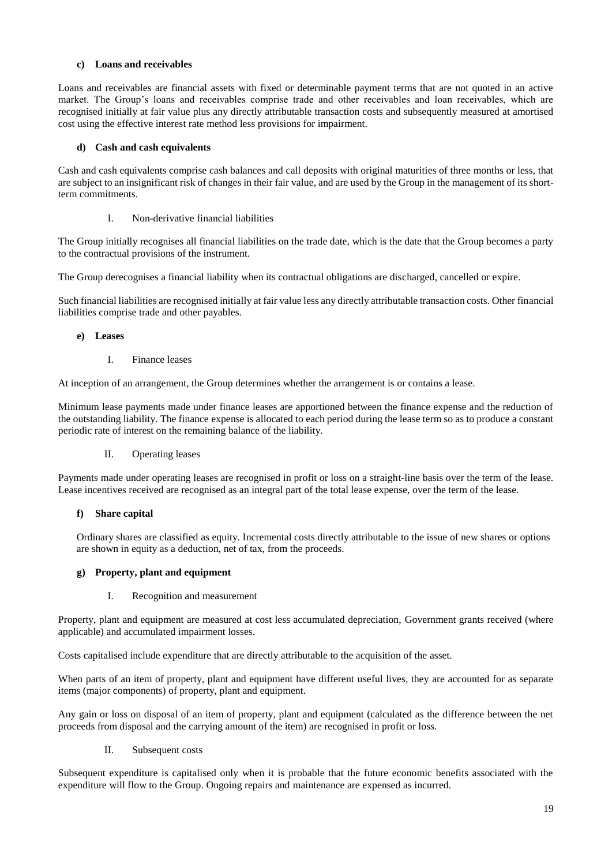## **c) Loans and receivables**

Loans and receivables are financial assets with fixed or determinable payment terms that are not quoted in an active market. The Group's loans and receivables comprise trade and other receivables and loan receivables, which are recognised initially at fair value plus any directly attributable transaction costs and subsequently measured at amortised cost using the effective interest rate method less provisions for impairment.

## **d) Cash and cash equivalents**

Cash and cash equivalents comprise cash balances and call deposits with original maturities of three months or less, that are subject to an insignificant risk of changes in their fair value, and are used by the Group in the management of its shortterm commitments.

## I. Non-derivative financial liabilities

The Group initially recognises all financial liabilities on the trade date, which is the date that the Group becomes a party to the contractual provisions of the instrument.

The Group derecognises a financial liability when its contractual obligations are discharged, cancelled or expire.

Such financial liabilities are recognised initially at fair value less any directly attributable transaction costs. Other financial liabilities comprise trade and other payables.

## **e) Leases**

I. Finance leases

At inception of an arrangement, the Group determines whether the arrangement is or contains a lease.

Minimum lease payments made under finance leases are apportioned between the finance expense and the reduction of the outstanding liability. The finance expense is allocated to each period during the lease term so as to produce a constant periodic rate of interest on the remaining balance of the liability.

## II. Operating leases

Payments made under operating leases are recognised in profit or loss on a straight-line basis over the term of the lease. Lease incentives received are recognised as an integral part of the total lease expense, over the term of the lease.

# **f) Share capital**

Ordinary shares are classified as equity. Incremental costs directly attributable to the issue of new shares or options are shown in equity as a deduction, net of tax, from the proceeds.

# **g) Property, plant and equipment**

## I. Recognition and measurement

Property, plant and equipment are measured at cost less accumulated depreciation, Government grants received (where applicable) and accumulated impairment losses.

Costs capitalised include expenditure that are directly attributable to the acquisition of the asset.

When parts of an item of property, plant and equipment have different useful lives, they are accounted for as separate items (major components) of property, plant and equipment.

Any gain or loss on disposal of an item of property, plant and equipment (calculated as the difference between the net proceeds from disposal and the carrying amount of the item) are recognised in profit or loss.

II. Subsequent costs

Subsequent expenditure is capitalised only when it is probable that the future economic benefits associated with the expenditure will flow to the Group. Ongoing repairs and maintenance are expensed as incurred.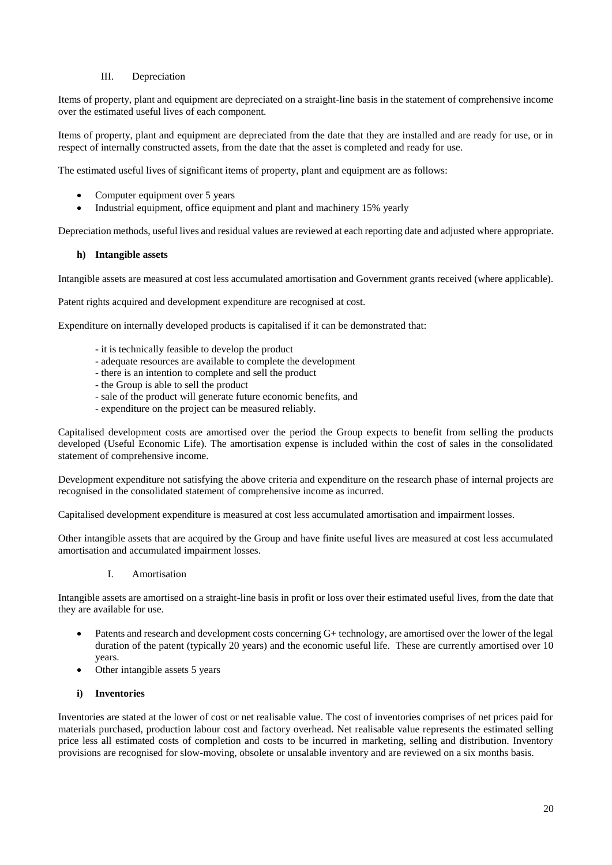## III. Depreciation

Items of property, plant and equipment are depreciated on a straight-line basis in the statement of comprehensive income over the estimated useful lives of each component.

Items of property, plant and equipment are depreciated from the date that they are installed and are ready for use, or in respect of internally constructed assets, from the date that the asset is completed and ready for use.

The estimated useful lives of significant items of property, plant and equipment are as follows:

- Computer equipment over 5 years
- Industrial equipment, office equipment and plant and machinery 15% yearly

Depreciation methods, useful lives and residual values are reviewed at each reporting date and adjusted where appropriate.

## **h) Intangible assets**

Intangible assets are measured at cost less accumulated amortisation and Government grants received (where applicable).

Patent rights acquired and development expenditure are recognised at cost.

Expenditure on internally developed products is capitalised if it can be demonstrated that:

- it is technically feasible to develop the product
- adequate resources are available to complete the development
- there is an intention to complete and sell the product
- the Group is able to sell the product
- sale of the product will generate future economic benefits, and
- expenditure on the project can be measured reliably.

Capitalised development costs are amortised over the period the Group expects to benefit from selling the products developed (Useful Economic Life). The amortisation expense is included within the cost of sales in the consolidated statement of comprehensive income.

Development expenditure not satisfying the above criteria and expenditure on the research phase of internal projects are recognised in the consolidated statement of comprehensive income as incurred.

Capitalised development expenditure is measured at cost less accumulated amortisation and impairment losses.

Other intangible assets that are acquired by the Group and have finite useful lives are measured at cost less accumulated amortisation and accumulated impairment losses.

## I. Amortisation

Intangible assets are amortised on a straight-line basis in profit or loss over their estimated useful lives, from the date that they are available for use.

- Patents and research and development costs concerning G+ technology, are amortised over the lower of the legal duration of the patent (typically 20 years) and the economic useful life. These are currently amortised over 10 years.
- Other intangible assets 5 years

## **i) Inventories**

Inventories are stated at the lower of cost or net realisable value. The cost of inventories comprises of net prices paid for materials purchased, production labour cost and factory overhead. Net realisable value represents the estimated selling price less all estimated costs of completion and costs to be incurred in marketing, selling and distribution. Inventory provisions are recognised for slow-moving, obsolete or unsalable inventory and are reviewed on a six months basis.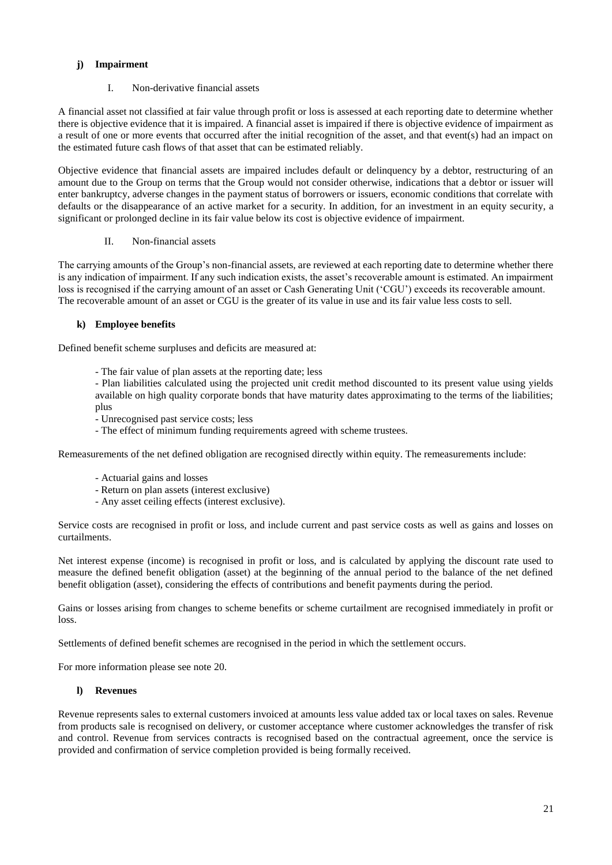## **j) Impairment**

I. Non-derivative financial assets

A financial asset not classified at fair value through profit or loss is assessed at each reporting date to determine whether there is objective evidence that it is impaired. A financial asset is impaired if there is objective evidence of impairment as a result of one or more events that occurred after the initial recognition of the asset, and that event(s) had an impact on the estimated future cash flows of that asset that can be estimated reliably.

Objective evidence that financial assets are impaired includes default or delinquency by a debtor, restructuring of an amount due to the Group on terms that the Group would not consider otherwise, indications that a debtor or issuer will enter bankruptcy, adverse changes in the payment status of borrowers or issuers, economic conditions that correlate with defaults or the disappearance of an active market for a security. In addition, for an investment in an equity security, a significant or prolonged decline in its fair value below its cost is objective evidence of impairment.

## II. Non-financial assets

The carrying amounts of the Group's non-financial assets, are reviewed at each reporting date to determine whether there is any indication of impairment. If any such indication exists, the asset's recoverable amount is estimated. An impairment loss is recognised if the carrying amount of an asset or Cash Generating Unit ('CGU') exceeds its recoverable amount. The recoverable amount of an asset or CGU is the greater of its value in use and its fair value less costs to sell.

## **k) Employee benefits**

Defined benefit scheme surpluses and deficits are measured at:

- The fair value of plan assets at the reporting date; less

- Plan liabilities calculated using the projected unit credit method discounted to its present value using yields available on high quality corporate bonds that have maturity dates approximating to the terms of the liabilities; plus

- Unrecognised past service costs; less
- The effect of minimum funding requirements agreed with scheme trustees.

Remeasurements of the net defined obligation are recognised directly within equity. The remeasurements include:

- Actuarial gains and losses
- Return on plan assets (interest exclusive)
- Any asset ceiling effects (interest exclusive).

Service costs are recognised in profit or loss, and include current and past service costs as well as gains and losses on curtailments.

Net interest expense (income) is recognised in profit or loss, and is calculated by applying the discount rate used to measure the defined benefit obligation (asset) at the beginning of the annual period to the balance of the net defined benefit obligation (asset), considering the effects of contributions and benefit payments during the period.

Gains or losses arising from changes to scheme benefits or scheme curtailment are recognised immediately in profit or loss.

Settlements of defined benefit schemes are recognised in the period in which the settlement occurs.

For more information please see note 20.

## **l) Revenues**

Revenue represents sales to external customers invoiced at amounts less value added tax or local taxes on sales. Revenue from products sale is recognised on delivery, or customer acceptance where customer acknowledges the transfer of risk and control. Revenue from services contracts is recognised based on the contractual agreement, once the service is provided and confirmation of service completion provided is being formally received.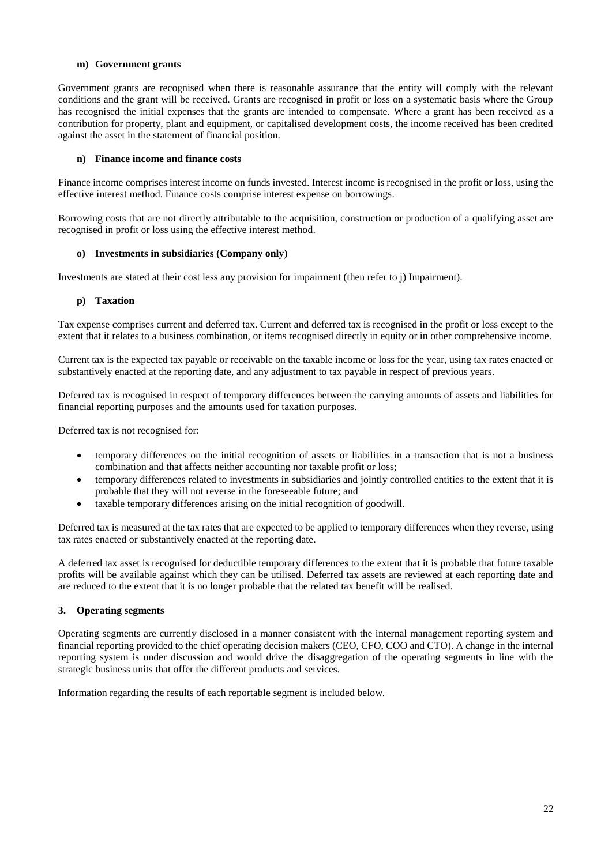#### **m) Government grants**

Government grants are recognised when there is reasonable assurance that the entity will comply with the relevant conditions and the grant will be received. Grants are recognised in profit or loss on a systematic basis where the Group has recognised the initial expenses that the grants are intended to compensate. Where a grant has been received as a contribution for property, plant and equipment, or capitalised development costs, the income received has been credited against the asset in the statement of financial position.

#### **n) Finance income and finance costs**

Finance income comprises interest income on funds invested. Interest income is recognised in the profit or loss, using the effective interest method. Finance costs comprise interest expense on borrowings.

Borrowing costs that are not directly attributable to the acquisition, construction or production of a qualifying asset are recognised in profit or loss using the effective interest method.

#### **o) Investments in subsidiaries (Company only)**

Investments are stated at their cost less any provision for impairment (then refer to j) Impairment).

#### **p) Taxation**

Tax expense comprises current and deferred tax. Current and deferred tax is recognised in the profit or loss except to the extent that it relates to a business combination, or items recognised directly in equity or in other comprehensive income.

Current tax is the expected tax payable or receivable on the taxable income or loss for the year, using tax rates enacted or substantively enacted at the reporting date, and any adjustment to tax payable in respect of previous years.

Deferred tax is recognised in respect of temporary differences between the carrying amounts of assets and liabilities for financial reporting purposes and the amounts used for taxation purposes.

Deferred tax is not recognised for:

- temporary differences on the initial recognition of assets or liabilities in a transaction that is not a business combination and that affects neither accounting nor taxable profit or loss;
- temporary differences related to investments in subsidiaries and jointly controlled entities to the extent that it is probable that they will not reverse in the foreseeable future; and
- taxable temporary differences arising on the initial recognition of goodwill.

Deferred tax is measured at the tax rates that are expected to be applied to temporary differences when they reverse, using tax rates enacted or substantively enacted at the reporting date.

A deferred tax asset is recognised for deductible temporary differences to the extent that it is probable that future taxable profits will be available against which they can be utilised. Deferred tax assets are reviewed at each reporting date and are reduced to the extent that it is no longer probable that the related tax benefit will be realised.

## **3. Operating segments**

Operating segments are currently disclosed in a manner consistent with the internal management reporting system and financial reporting provided to the chief operating decision makers (CEO, CFO, COO and CTO). A change in the internal reporting system is under discussion and would drive the disaggregation of the operating segments in line with the strategic business units that offer the different products and services.

Information regarding the results of each reportable segment is included below.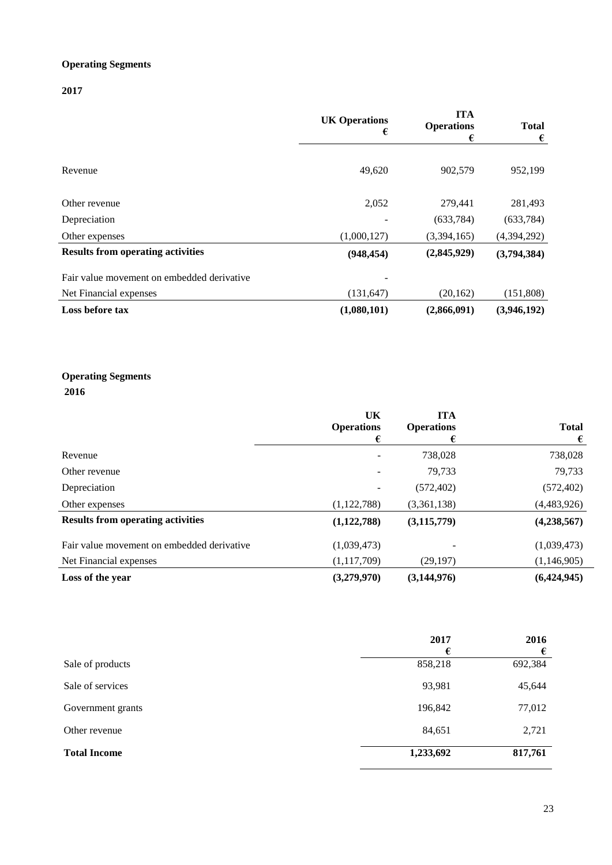# **Operating Segments**

**2017**

|                                            | <b>UK Operations</b><br>€ | <b>ITA</b><br><b>Operations</b><br>€ | <b>Total</b><br>€ |
|--------------------------------------------|---------------------------|--------------------------------------|-------------------|
| Revenue                                    | 49,620                    | 902,579                              | 952,199           |
| Other revenue                              | 2,052                     | 279,441                              | 281,493           |
| Depreciation                               |                           | (633, 784)                           | (633, 784)        |
| Other expenses                             | (1,000,127)               | (3,394,165)                          | (4,394,292)       |
| <b>Results from operating activities</b>   | (948, 454)                | (2,845,929)                          | (3,794,384)       |
| Fair value movement on embedded derivative |                           |                                      |                   |
| Net Financial expenses                     | (131, 647)                | (20, 162)                            | (151,808)         |
| Loss before tax                            | (1,080,101)               | (2,866,091)                          | (3,946,192)       |

# **Operating Segments**

**2016**

|                                            | UK                | <b>ITA</b>        |               |
|--------------------------------------------|-------------------|-------------------|---------------|
|                                            | <b>Operations</b> | <b>Operations</b> | <b>Total</b>  |
|                                            | €                 | €                 | €             |
| Revenue                                    | $\qquad \qquad$   | 738,028           | 738,028       |
| Other revenue                              | ۰                 | 79,733            | 79,733        |
| Depreciation                               | -                 | (572, 402)        | (572, 402)    |
| Other expenses                             | (1,122,788)       | (3,361,138)       | (4,483,926)   |
| <b>Results from operating activities</b>   | (1,122,788)       | (3, 115, 779)     | (4, 238, 567) |
| Fair value movement on embedded derivative | (1,039,473)       |                   | (1,039,473)   |
| Net Financial expenses                     | (1,117,709)       | (29, 197)         | (1, 146, 905) |
| Loss of the year                           | (3,279,970)       | (3,144,976)       | (6,424,945)   |

|                     | 2017<br>€ | 2016<br>€ |
|---------------------|-----------|-----------|
| Sale of products    | 858,218   | 692,384   |
| Sale of services    | 93,981    | 45,644    |
| Government grants   | 196,842   | 77,012    |
| Other revenue       | 84,651    | 2,721     |
| <b>Total Income</b> | 1,233,692 | 817,761   |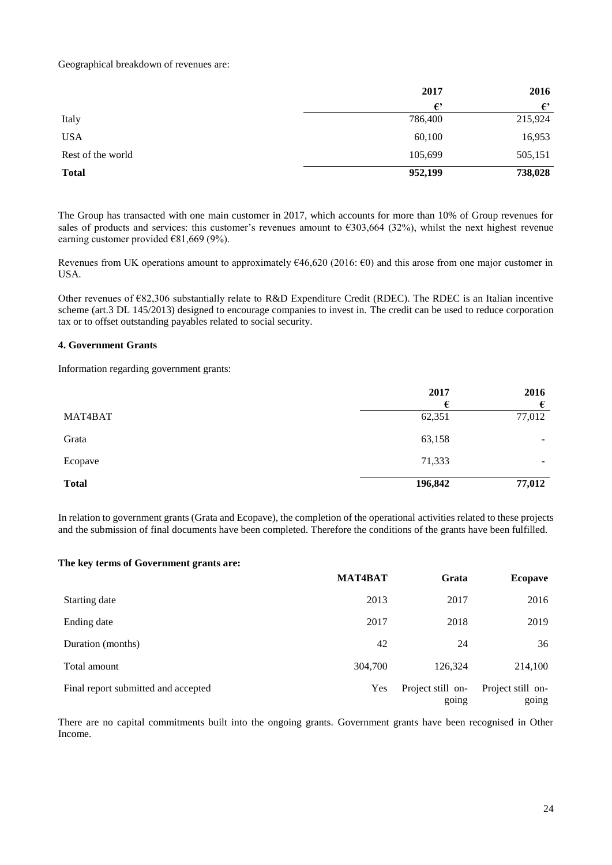## Geographical breakdown of revenues are:

|                   | 2017    | 2016    |
|-------------------|---------|---------|
|                   | €       | €       |
| Italy             | 786,400 | 215,924 |
| <b>USA</b>        | 60,100  | 16,953  |
| Rest of the world | 105,699 | 505,151 |
| <b>Total</b>      | 952,199 | 738,028 |

The Group has transacted with one main customer in 2017, which accounts for more than 10% of Group revenues for sales of products and services: this customer's revenues amount to  $\epsilon$ 303,664 (32%), whilst the next highest revenue earning customer provided  $€81,669$  (9%).

Revenues from UK operations amount to approximately  $646,620$  (2016:  $60$ ) and this arose from one major customer in USA.

Other revenues of €82,306 substantially relate to R&D Expenditure Credit (RDEC). The RDEC is an Italian incentive scheme (art.3 DL 145/2013) designed to encourage companies to invest in. The credit can be used to reduce corporation tax or to offset outstanding payables related to social security.

#### **4. Government Grants**

Information regarding government grants:

|              | 2017    | 2016   |
|--------------|---------|--------|
|              |         | €      |
| MAT4BAT      | 62,351  | 77,012 |
| Grata        | 63,158  | -      |
| Ecopave      | 71,333  | -      |
| <b>Total</b> | 196,842 | 77,012 |

In relation to government grants (Grata and Ecopave), the completion of the operational activities related to these projects and the submission of final documents have been completed. Therefore the conditions of the grants have been fulfilled.

#### **The key terms of Government grants are:**

|                                     | <b>MAT4BAT</b> | Grata                      | <b>Ecopave</b>             |
|-------------------------------------|----------------|----------------------------|----------------------------|
| Starting date                       | 2013           | 2017                       | 2016                       |
| Ending date                         | 2017           | 2018                       | 2019                       |
| Duration (months)                   | 42             | 24                         | 36                         |
| Total amount                        | 304,700        | 126,324                    | 214,100                    |
| Final report submitted and accepted | Yes            | Project still on-<br>going | Project still on-<br>going |

There are no capital commitments built into the ongoing grants. Government grants have been recognised in Other Income.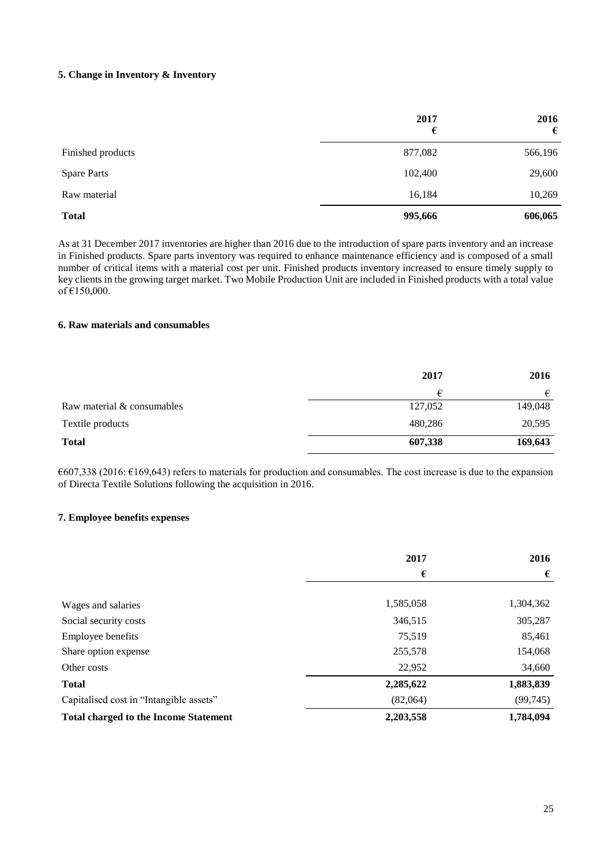## **5. Change in Inventory & Inventory**

|                    | 2017<br>€ | 2016<br>€ |
|--------------------|-----------|-----------|
| Finished products  | 877,082   | 566,196   |
| <b>Spare Parts</b> | 102,400   | 29,600    |
| Raw material       | 16,184    | 10,269    |
| <b>Total</b>       | 995,666   | 606,065   |

As at 31 December 2017 inventories are higher than 2016 due to the introduction of spare parts inventory and an increase in Finished products. Spare parts inventory was required to enhance maintenance efficiency and is composed of a small number of critical items with a material cost per unit. Finished products inventory increased to ensure timely supply to key clients in the growing target market. Two Mobile Production Unit are included in Finished products with a total value of  $€150,000$ .

## **6. Raw materials and consumables**

|                            | 2017    | 2016    |
|----------------------------|---------|---------|
|                            | €       | €       |
| Raw material & consumables | 127,052 | 149,048 |
| Textile products           | 480,286 | 20,595  |
| <b>Total</b>               | 607,338 | 169,643 |

 $6607,338$  (2016:  $6169,643$ ) refers to materials for production and consumables. The cost increase is due to the expansion of Directa Textile Solutions following the acquisition in 2016.

#### **7. Employee benefits expenses**

|                                              | 2017      | 2016      |
|----------------------------------------------|-----------|-----------|
|                                              | €         | €         |
|                                              |           |           |
| Wages and salaries                           | 1,585,058 | 1,304,362 |
| Social security costs                        | 346,515   | 305,287   |
| Employee benefits                            | 75.519    | 85,461    |
| Share option expense                         | 255,578   | 154,068   |
| Other costs                                  | 22,952    | 34,660    |
| <b>Total</b>                                 | 2,285,622 | 1,883,839 |
| Capitalised cost in "Intangible assets"      | (82,064)  | (99, 745) |
| <b>Total charged to the Income Statement</b> | 2,203,558 | 1,784,094 |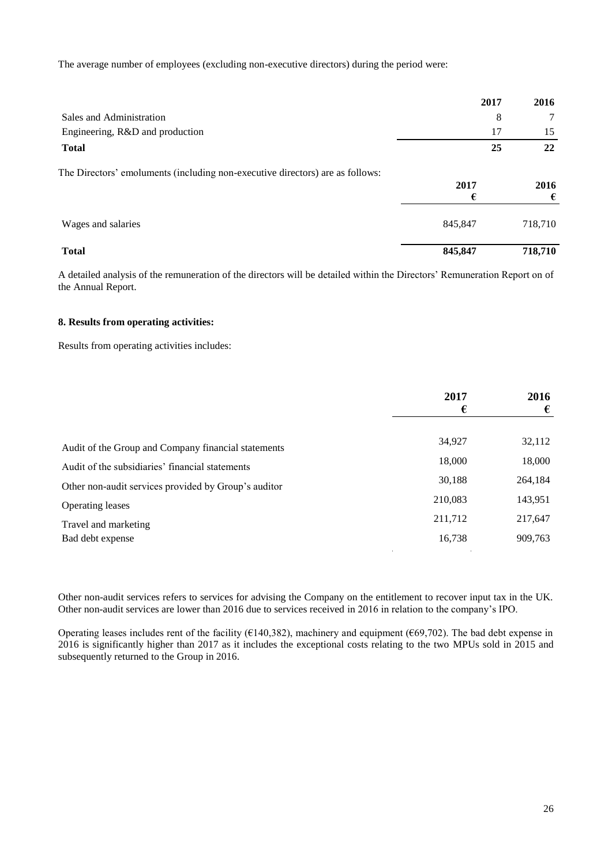The average number of employees (excluding non-executive directors) during the period were:

|                                                                               | 2017      | 2016      |
|-------------------------------------------------------------------------------|-----------|-----------|
| Sales and Administration                                                      | 8         | 7         |
| Engineering, R&D and production                                               | 17        | 15        |
| <b>Total</b>                                                                  | 25        | 22        |
| The Directors' emoluments (including non-executive directors) are as follows: | 2017<br>€ | 2016<br>€ |
| Wages and salaries                                                            | 845,847   | 718,710   |
| <b>Total</b>                                                                  | 845,847   | 718,710   |

A detailed analysis of the remuneration of the directors will be detailed within the Directors' Remuneration Report on of the Annual Report.

#### **8. Results from operating activities:**

Results from operating activities includes:

|                                                      | 2017    | 2016    |
|------------------------------------------------------|---------|---------|
|                                                      | €       | €       |
|                                                      |         |         |
| Audit of the Group and Company financial statements  | 34,927  | 32,112  |
| Audit of the subsidiaries' financial statements      | 18,000  | 18,000  |
| Other non-audit services provided by Group's auditor | 30,188  | 264,184 |
| <b>Operating leases</b>                              | 210,083 | 143,951 |
| Travel and marketing                                 | 211,712 | 217,647 |
| Bad debt expense                                     | 16,738  | 909,763 |

Other non-audit services refers to services for advising the Company on the entitlement to recover input tax in the UK. Other non-audit services are lower than 2016 due to services received in 2016 in relation to the company's IPO.

Operating leases includes rent of the facility ( $\epsilon$ 140,382), machinery and equipment ( $\epsilon$ 69,702). The bad debt expense in 2016 is significantly higher than 2017 as it includes the exceptional costs relating to the two MPUs sold in 2015 and subsequently returned to the Group in 2016.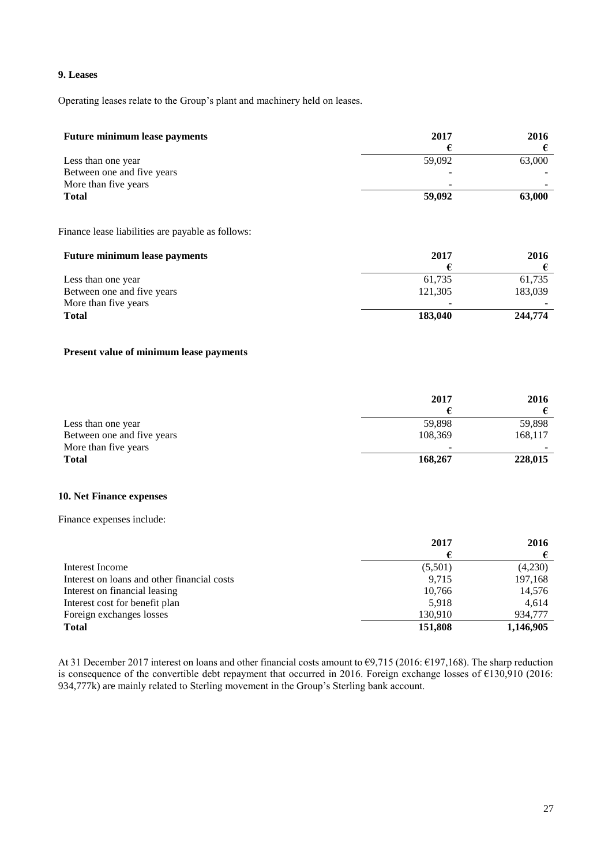## **9. Leases**

Operating leases relate to the Group's plant and machinery held on leases.

| <b>Future minimum lease payments</b> | 2017   | 2016   |
|--------------------------------------|--------|--------|
|                                      |        |        |
| Less than one year                   | 59.092 | 63,000 |
| Between one and five years           |        |        |
| More than five years                 | -      |        |
| <b>Total</b>                         | 59,092 | 63,000 |

Finance lease liabilities are payable as follows:

| <b>Future minimum lease payments</b> | 2017    | 2016    |
|--------------------------------------|---------|---------|
|                                      |         |         |
| Less than one year                   | 61.735  | 61,735  |
| Between one and five years           | 121.305 | 183,039 |
| More than five years                 | -       |         |
| <b>Total</b>                         | 183,040 | 244,774 |

## **Present value of minimum lease payments**

|                            | 2017    | 2016    |
|----------------------------|---------|---------|
|                            |         |         |
| Less than one year         | 59.898  | 59,898  |
| Between one and five years | 108.369 | 168,117 |
| More than five years       | -       |         |
| <b>Total</b>               | 168,267 | 228,015 |

#### **10. Net Finance expenses**

Finance expenses include:

|                                             | 2017    | 2016      |
|---------------------------------------------|---------|-----------|
|                                             |         |           |
| Interest Income                             | (5,501) | (4,230)   |
| Interest on loans and other financial costs | 9.715   | 197,168   |
| Interest on financial leasing               | 10.766  | 14,576    |
| Interest cost for benefit plan              | 5.918   | 4.614     |
| Foreign exchanges losses                    | 130.910 | 934,777   |
| <b>Total</b>                                | 151,808 | 1,146,905 |

At 31 December 2017 interest on loans and other financial costs amount to €9,715 (2016: €197,168). The sharp reduction is consequence of the convertible debt repayment that occurred in 2016. Foreign exchange losses of €130,910 (2016: 934,777k) are mainly related to Sterling movement in the Group's Sterling bank account.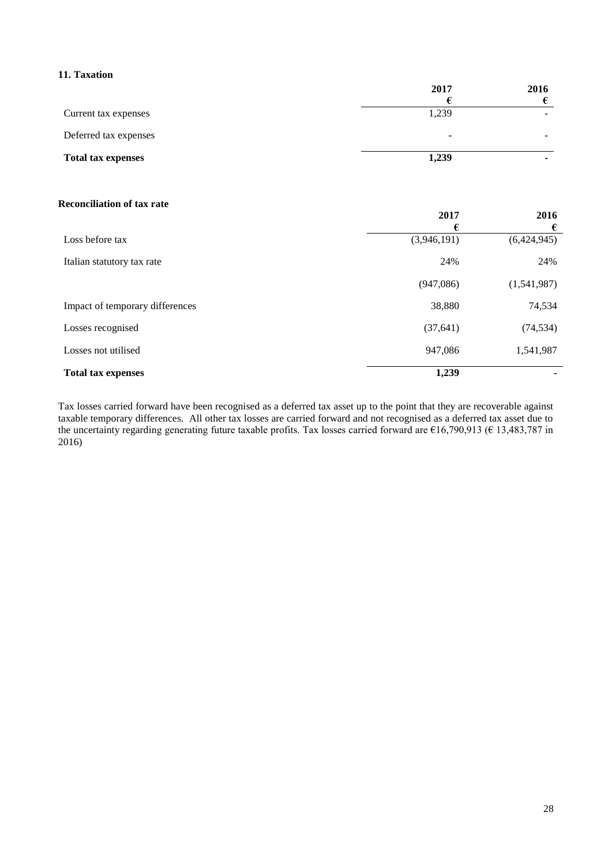# **11. Taxation**

|                           | 2017  | 2016                     |
|---------------------------|-------|--------------------------|
|                           |       |                          |
| Current tax expenses      | 1,239 | $\overline{\phantom{a}}$ |
| Deferred tax expenses     | -     |                          |
| <b>Total tax expenses</b> | 1,239 | ۰                        |

### **Reconciliation of tax rate**

|                                 | 2017        | 2016        |
|---------------------------------|-------------|-------------|
|                                 | €           | €           |
| Loss before tax                 | (3,946,191) | (6,424,945) |
| Italian statutory tax rate      | 24%         | 24%         |
|                                 | (947,086)   | (1,541,987) |
| Impact of temporary differences | 38,880      | 74,534      |
| Losses recognised               | (37, 641)   | (74, 534)   |
| Losses not utilised             | 947,086     | 1,541,987   |
| <b>Total tax expenses</b>       | 1,239       |             |

Tax losses carried forward have been recognised as a deferred tax asset up to the point that they are recoverable against taxable temporary differences. All other tax losses are carried forward and not recognised as a deferred tax asset due to the uncertainty regarding generating future taxable profits. Tax losses carried forward are €16,790,913 (€ 13,483,787 in 2016)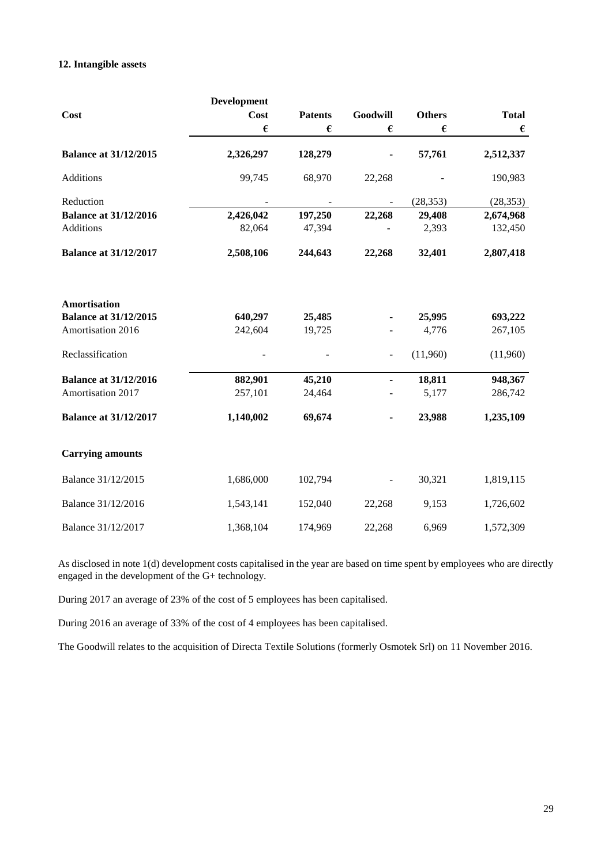## **12. Intangible assets**

| Cost                                                              | <b>Development</b><br><b>Cost</b> | <b>Patents</b>   | Goodwill | <b>Others</b>   | <b>Total</b>       |
|-------------------------------------------------------------------|-----------------------------------|------------------|----------|-----------------|--------------------|
|                                                                   | €                                 | €                | €        | €               | $\pmb{\epsilon}$   |
| <b>Balance at 31/12/2015</b>                                      | 2,326,297                         | 128,279          |          | 57,761          | 2,512,337          |
| Additions                                                         | 99,745                            | 68,970           | 22,268   |                 | 190,983            |
| Reduction                                                         |                                   |                  |          | (28, 353)       | (28, 353)          |
| <b>Balance at 31/12/2016</b>                                      | 2,426,042                         | 197,250          | 22,268   | 29,408          | 2,674,968          |
| <b>Additions</b>                                                  | 82,064                            | 47,394           |          | 2,393           | 132,450            |
| <b>Balance at 31/12/2017</b>                                      | 2,508,106                         | 244,643          | 22,268   | 32,401          | 2,807,418          |
| Amortisation<br><b>Balance at 31/12/2015</b><br>Amortisation 2016 | 640,297<br>242,604                | 25,485<br>19,725 |          | 25,995<br>4,776 | 693,222<br>267,105 |
| Reclassification                                                  |                                   |                  |          | (11,960)        | (11,960)           |
| <b>Balance at 31/12/2016</b>                                      | 882,901                           | 45,210           | ٠        | 18,811          | 948,367            |
| Amortisation 2017                                                 | 257,101                           | 24,464           |          | 5,177           | 286,742            |
| <b>Balance at 31/12/2017</b>                                      | 1,140,002                         | 69,674           |          | 23,988          | 1,235,109          |
| <b>Carrying amounts</b>                                           |                                   |                  |          |                 |                    |
| Balance 31/12/2015                                                | 1,686,000                         | 102,794          |          | 30,321          | 1,819,115          |
| Balance 31/12/2016                                                | 1,543,141                         | 152,040          | 22,268   | 9,153           | 1,726,602          |
| Balance 31/12/2017                                                | 1,368,104                         | 174,969          | 22,268   | 6,969           | 1,572,309          |

As disclosed in note 1(d) development costs capitalised in the year are based on time spent by employees who are directly engaged in the development of the G+ technology.

During 2017 an average of 23% of the cost of 5 employees has been capitalised.

During 2016 an average of 33% of the cost of 4 employees has been capitalised.

The Goodwill relates to the acquisition of Directa Textile Solutions (formerly Osmotek Srl) on 11 November 2016.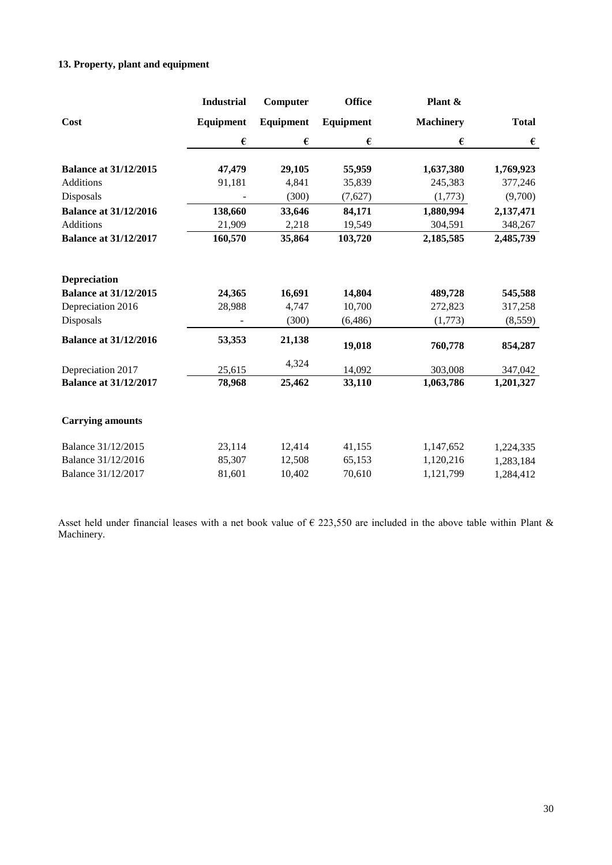# **13. Property, plant and equipment**

|                              | <b>Industrial</b> | Computer  | <b>Office</b> | Plant &          |                  |
|------------------------------|-------------------|-----------|---------------|------------------|------------------|
| Cost                         | Equipment         | Equipment | Equipment     | <b>Machinery</b> | <b>Total</b>     |
|                              | €                 | €         | €             | €                | $\pmb{\epsilon}$ |
| <b>Balance at 31/12/2015</b> | 47,479            | 29,105    | 55,959        | 1,637,380        | 1,769,923        |
| <b>Additions</b>             | 91,181            | 4,841     | 35,839        | 245,383          | 377,246          |
| Disposals                    |                   | (300)     | (7,627)       | (1,773)          | (9,700)          |
| <b>Balance at 31/12/2016</b> | 138,660           | 33,646    | 84,171        | 1,880,994        | 2,137,471        |
| <b>Additions</b>             | 21,909            | 2,218     | 19,549        | 304,591          | 348,267          |
| <b>Balance at 31/12/2017</b> | 160,570           | 35,864    | 103,720       | 2,185,585        | 2,485,739        |
| <b>Depreciation</b>          |                   |           |               |                  |                  |
| <b>Balance at 31/12/2015</b> | 24,365            | 16,691    | 14,804        | 489,728          | 545,588          |
| Depreciation 2016            | 28,988            | 4,747     | 10,700        | 272,823          | 317,258          |
| Disposals                    |                   | (300)     | (6, 486)      | (1,773)          | (8, 559)         |
| <b>Balance at 31/12/2016</b> | 53,353            | 21,138    | 19,018        | 760,778          | 854,287          |
| Depreciation 2017            | 25,615            | 4,324     | 14,092        | 303,008          | 347,042          |
| <b>Balance at 31/12/2017</b> | 78,968            | 25,462    | 33,110        | 1,063,786        | 1,201,327        |
| <b>Carrying amounts</b>      |                   |           |               |                  |                  |
| Balance 31/12/2015           | 23,114            | 12,414    | 41,155        | 1,147,652        | 1,224,335        |
| Balance 31/12/2016           | 85,307            | 12,508    | 65,153        | 1,120,216        | 1,283,184        |
| Balance 31/12/2017           | 81,601            | 10,402    | 70,610        | 1,121,799        | 1,284,412        |

Asset held under financial leases with a net book value of  $\epsilon$  223,550 are included in the above table within Plant & Machinery.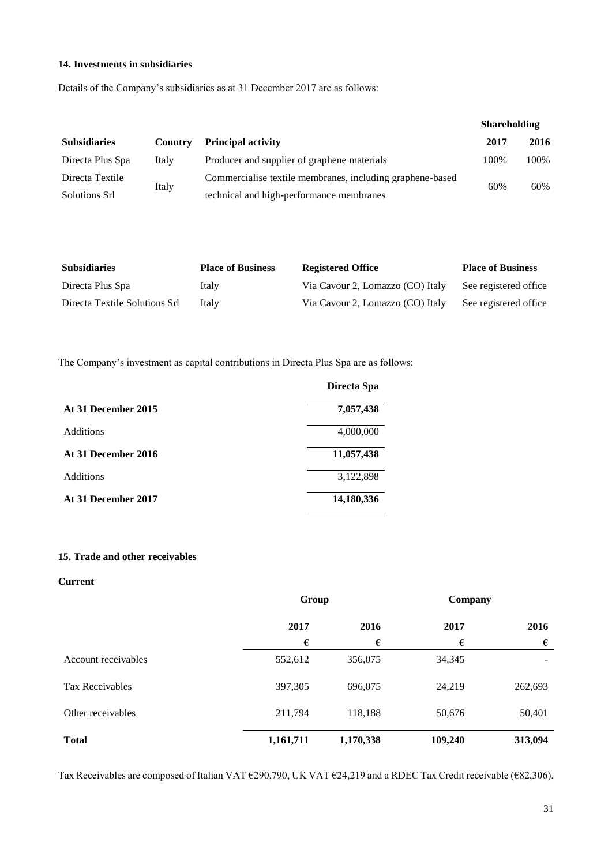## **14. Investments in subsidiaries**

Details of the Company's subsidiaries as at 31 December 2017 are as follows:

|                        |         |                                                           | <b>Shareholding</b> |      |
|------------------------|---------|-----------------------------------------------------------|---------------------|------|
| <b>Subsidiaries</b>    | Country | <b>Principal activity</b>                                 | 2017                | 2016 |
| Directa Plus Spa       | Italy   | Producer and supplier of graphene materials               | 100%                | 100% |
| Directa Textile        |         | Commercialise textile membranes, including graphene-based | 60%                 | 60%  |
| Italy<br>Solutions Srl |         | technical and high-performance membranes                  |                     |      |

| <b>Subsidiaries</b>           | <b>Place of Business</b> | <b>Registered Office</b>         | <b>Place of Business</b> |
|-------------------------------|--------------------------|----------------------------------|--------------------------|
| Directa Plus Spa              | Italy                    | Via Cavour 2, Lomazzo (CO) Italy | See registered office    |
| Directa Textile Solutions Srl | Italy                    | Via Cavour 2, Lomazzo (CO) Italy | See registered office    |

The Company's investment as capital contributions in Directa Plus Spa are as follows:

|                     | Directa Spa |
|---------------------|-------------|
| At 31 December 2015 | 7,057,438   |
| <b>Additions</b>    | 4,000,000   |
| At 31 December 2016 | 11,057,438  |
| <b>Additions</b>    | 3,122,898   |
| At 31 December 2017 | 14,180,336  |

## **15. Trade and other receivables**

# **Current**

|                        | Group        |           | Company |         |
|------------------------|--------------|-----------|---------|---------|
|                        | 2016<br>2017 |           | 2017    | 2016    |
|                        | €            | €         | €       | €       |
| Account receivables    | 552,612      | 356,075   | 34,345  |         |
| <b>Tax Receivables</b> | 397,305      | 696,075   | 24,219  | 262,693 |
| Other receivables      | 211,794      | 118,188   | 50,676  | 50,401  |
| <b>Total</b>           | 1,161,711    | 1,170,338 | 109,240 | 313,094 |

Tax Receivables are composed of Italian VAT €290,790, UK VAT €24,219 and a RDEC Tax Credit receivable (€82,306).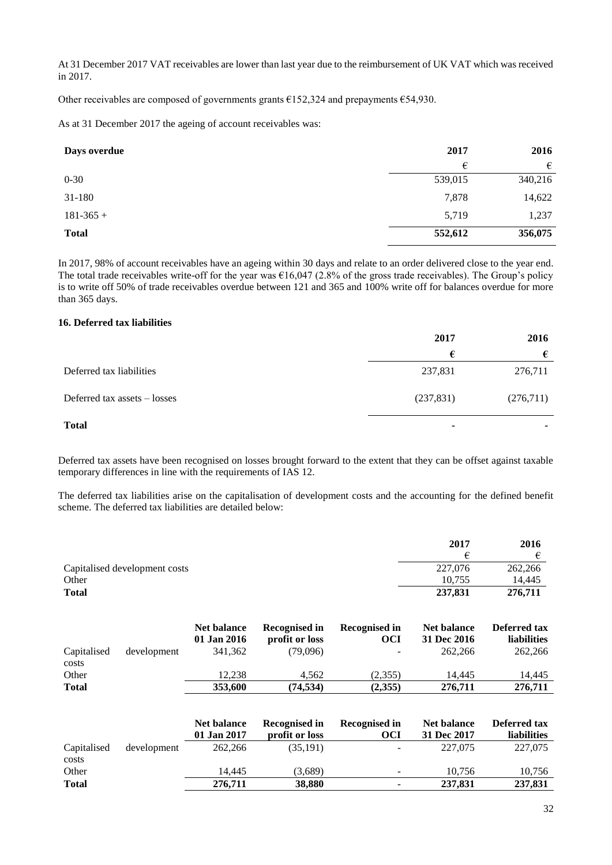At 31 December 2017 VAT receivables are lower than last year due to the reimbursement of UK VAT which was received in 2017.

Other receivables are composed of governments grants  $£152,324$  and prepayments  $£54,930$ .

As at 31 December 2017 the ageing of account receivables was:

| Days overdue | 2017    | 2016    |
|--------------|---------|---------|
|              | €       | €       |
| $0 - 30$     | 539,015 | 340,216 |
| 31-180       | 7,878   | 14,622  |
| $181-365+$   | 5,719   | 1,237   |
| <b>Total</b> | 552,612 | 356,075 |

In 2017, 98% of account receivables have an ageing within 30 days and relate to an order delivered close to the year end. The total trade receivables write-off for the year was  $\epsilon$ 16,047 (2.8% of the gross trade receivables). The Group's policy is to write off 50% of trade receivables overdue between 121 and 365 and 100% write off for balances overdue for more than 365 days.

# **16. Deferred tax liabilities**

|                                | 2017       | 2016      |
|--------------------------------|------------|-----------|
|                                | €          | €         |
| Deferred tax liabilities       | 237,831    | 276,711   |
| Deferred tax assets $-$ losses | (237, 831) | (276,711) |
| <b>Total</b>                   | ۰          | -         |

Deferred tax assets have been recognised on losses brought forward to the extent that they can be offset against taxable temporary differences in line with the requirements of IAS 12.

The deferred tax liabilities arise on the capitalisation of development costs and the accounting for the defined benefit scheme. The deferred tax liabilities are detailed below:

|                               | 2017    | 2016    |
|-------------------------------|---------|---------|
|                               |         |         |
| Capitalised development costs | 227,076 | 262,266 |
| Other                         | 10.755  | 14.445  |
| <b>Total</b>                  | 237,831 | 276,711 |

|                      |             | Net balance<br>01 Jan 2016 | Recognised in<br>profit or loss | Recognised in<br>OCI     | <b>Net balance</b><br>31 Dec 2016 | <b>Deferred tax</b><br><b>liabilities</b> |
|----------------------|-------------|----------------------------|---------------------------------|--------------------------|-----------------------------------|-------------------------------------------|
| Capitalised<br>costs | development | 341,362                    | (79.096)                        | $\overline{\phantom{a}}$ | 262,266                           | 262,266                                   |
| Other                |             | 12.238                     | 4.562                           | (2,355)                  | 14.445                            | 14.445                                    |
| <b>Total</b>         |             | 353,600                    | (74,534)                        | (2,355)                  | 276,711                           | 276,711                                   |

|                      |             | Net balance<br>01 Jan 2017 | <b>Recognised in</b><br>profit or loss | <b>Recognised in</b><br>OCI | <b>Net balance</b><br>31 Dec 2017 | Deferred tax<br><b>liabilities</b> |
|----------------------|-------------|----------------------------|----------------------------------------|-----------------------------|-----------------------------------|------------------------------------|
| Capitalised<br>costs | development | 262,266                    | (35, 191)                              |                             | 227,075                           | 227,075                            |
| Other                |             | 14.445                     | (3,689)                                | $\sim$                      | 10.756                            | 10,756                             |
| <b>Total</b>         |             | 276.711                    | 38,880                                 | $\sim$                      | 237,831                           | 237,831                            |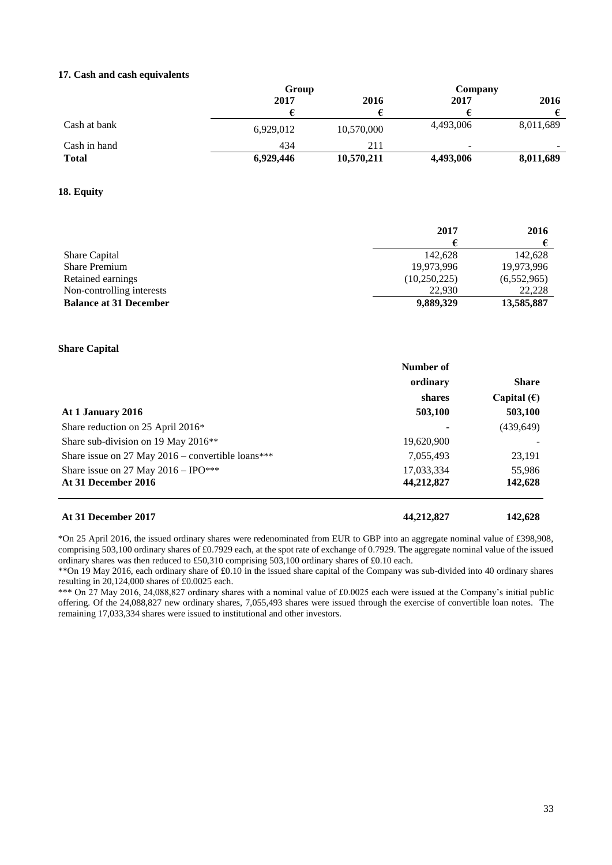#### **17. Cash and cash equivalents**

|              | Group     |            | Company                  |           |
|--------------|-----------|------------|--------------------------|-----------|
|              | 2017      | 2016       | 2017                     | 2016      |
|              |           |            |                          |           |
| Cash at bank | 6.929.012 | 10,570,000 | 4,493,006                | 8,011,689 |
| Cash in hand | 434       | 211        | $\overline{\phantom{a}}$ | $\sim$    |
| <b>Total</b> | 6,929,446 | 10,570,211 | 4,493,006                | 8,011,689 |

#### **18. Equity**

|                               | 2017         | 2016        |
|-------------------------------|--------------|-------------|
|                               |              |             |
| <b>Share Capital</b>          | 142.628      | 142,628     |
| <b>Share Premium</b>          | 19,973,996   | 19,973,996  |
| Retained earnings             | (10,250,225) | (6,552,965) |
| Non-controlling interests     | 22.930       | 22,228      |
| <b>Balance at 31 December</b> | 9,889,329    | 13,585,887  |

#### **Share Capital**

|                                                     | Number of  |                      |
|-----------------------------------------------------|------------|----------------------|
|                                                     | ordinary   | <b>Share</b>         |
|                                                     | shares     | Capital $(\epsilon)$ |
| At 1 January 2016                                   | 503,100    | 503,100              |
| Share reduction on 25 April 2016*                   |            | (439, 649)           |
| Share sub-division on 19 May 2016 <sup>**</sup>     | 19,620,900 |                      |
| Share issue on 27 May $2016$ – convertible loans*** | 7,055,493  | 23,191               |
| Share issue on 27 May $2016 - IPO***$               | 17,033,334 | 55,986               |
| At 31 December 2016                                 | 44,212,827 | 142,628              |
|                                                     |            |                      |

\*On 25 April 2016, the issued ordinary shares were redenominated from EUR to GBP into an aggregate nominal value of £398,908, comprising 503,100 ordinary shares of £0.7929 each, at the spot rate of exchange of 0.7929. The aggregate nominal value of the issued ordinary shares was then reduced to £50,310 comprising 503,100 ordinary shares of £0.10 each.

\*\*On 19 May 2016, each ordinary share of £0.10 in the issued share capital of the Company was sub-divided into 40 ordinary shares resulting in 20,124,000 shares of £0.0025 each.

\*\*\* On 27 May 2016, 24,088,827 ordinary shares with a nominal value of £0.0025 each were issued at the Company's initial public offering. Of the 24,088,827 new ordinary shares, 7,055,493 shares were issued through the exercise of convertible loan notes. The remaining 17,033,334 shares were issued to institutional and other investors.

**At 31 December 2017 44,212,827 142,628**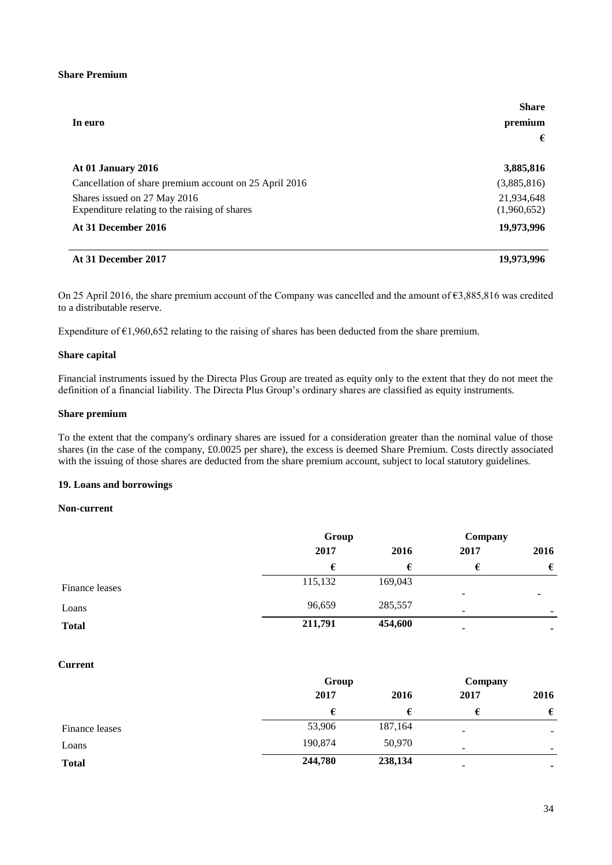## **Share Premium**

|                                                                               | <b>Share</b>              |
|-------------------------------------------------------------------------------|---------------------------|
| In euro                                                                       | premium                   |
|                                                                               | €                         |
| At 01 January 2016                                                            | 3,885,816                 |
| Cancellation of share premium account on 25 April 2016                        | (3,885,816)               |
| Shares issued on 27 May 2016<br>Expenditure relating to the raising of shares | 21,934,648<br>(1,960,652) |
| At 31 December 2016                                                           | 19,973,996                |
|                                                                               |                           |

#### **At 31 December 2017 19,973,996**

On 25 April 2016, the share premium account of the Company was cancelled and the amount of  $\epsilon$ 3,885,816 was credited to a distributable reserve.

Expenditure of  $\epsilon$ 1,960,652 relating to the raising of shares has been deducted from the share premium.

#### **Share capital**

Financial instruments issued by the Directa Plus Group are treated as equity only to the extent that they do not meet the definition of a financial liability. The Directa Plus Group's ordinary shares are classified as equity instruments.

## **Share premium**

To the extent that the company's ordinary shares are issued for a consideration greater than the nominal value of those shares (in the case of the company, £0.0025 per share), the excess is deemed Share Premium. Costs directly associated with the issuing of those shares are deducted from the share premium account, subject to local statutory guidelines.

#### **19. Loans and borrowings**

#### **Non-current**

|                | Group   |         |                          | Company                  |      |
|----------------|---------|---------|--------------------------|--------------------------|------|
|                | 2017    | 2016    | 2017                     |                          | 2016 |
|                | €       | €       | €                        | €                        |      |
| Finance leases | 115,132 | 169,043 | ٠                        |                          |      |
| Loans          | 96,659  | 285,557 | $\overline{\phantom{a}}$ | $\overline{\phantom{0}}$ |      |
| <b>Total</b>   | 211,791 | 454,600 | ۰                        | ۰                        |      |

#### **Current**

|                | Group   |         | Company |                          |      |
|----------------|---------|---------|---------|--------------------------|------|
|                | 2017    | 2016    | 2017    |                          | 2016 |
|                |         |         |         | €                        |      |
| Finance leases | 53,906  | 187,164 | ۰       | -                        |      |
| Loans          | 190,874 | 50,970  | ۰       | $\overline{\phantom{0}}$ |      |
| <b>Total</b>   | 244,780 | 238,134 | ٠       | ۰                        |      |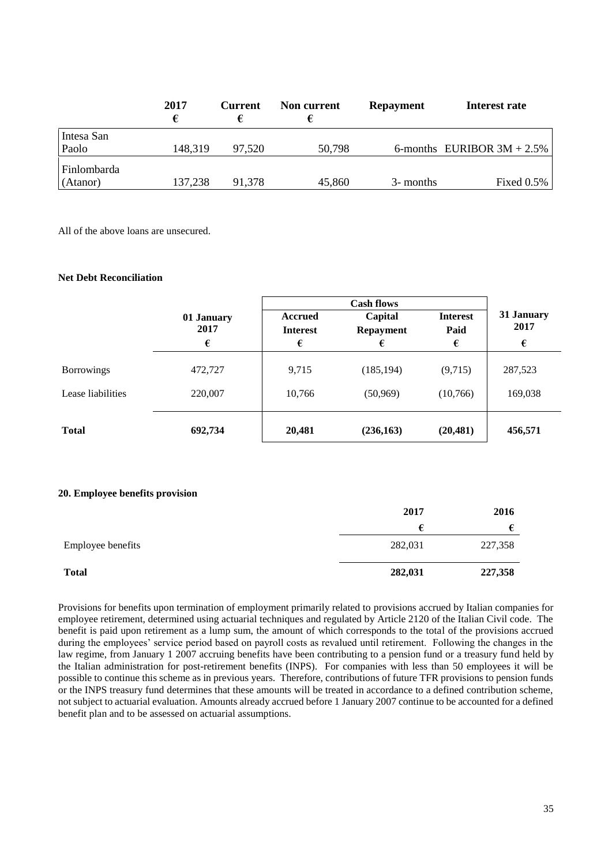|                         | 2017    | <b>Current</b> | Non current | <b>Repayment</b> | Interest rate                 |
|-------------------------|---------|----------------|-------------|------------------|-------------------------------|
| Intesa San<br>Paolo     | 148,319 | 97.520         | 50,798      |                  | 6-months EURIBOR $3M + 2.5\%$ |
| Finlombarda<br>(Atanor) | 137,238 | 91,378         | 45,860      | 3- months        | Fixed $0.5\%$                 |

All of the above loans are unsecured.

## **Net Debt Reconciliation**

|                   |                    | <b>Cash flows</b>          |                             |                         |                    |
|-------------------|--------------------|----------------------------|-----------------------------|-------------------------|--------------------|
|                   | 01 January<br>2017 | Accrued<br><b>Interest</b> | Capital<br><b>Repayment</b> | <b>Interest</b><br>Paid | 31 January<br>2017 |
|                   | €                  | €                          | €                           | €                       | €                  |
| <b>Borrowings</b> | 472,727            | 9,715                      | (185, 194)                  | (9,715)                 | 287,523            |
| Lease liabilities | 220,007            | 10,766                     | (50, 969)                   | (10,766)                | 169,038            |
| <b>Total</b>      | 692,734            | 20,481                     | (236, 163)                  | (20, 481)               | 456,571            |

### **20. Employee benefits provision**

|                   | 2017    |         |
|-------------------|---------|---------|
|                   | €       |         |
| Employee benefits | 282,031 | 227,358 |
| <b>Total</b>      | 282,031 | 227,358 |

Provisions for benefits upon termination of employment primarily related to provisions accrued by Italian companies for employee retirement, determined using actuarial techniques and regulated by Article 2120 of the Italian Civil code. The benefit is paid upon retirement as a lump sum, the amount of which corresponds to the total of the provisions accrued during the employees' service period based on payroll costs as revalued until retirement. Following the changes in the law regime, from January 1 2007 accruing benefits have been contributing to a pension fund or a treasury fund held by the Italian administration for post-retirement benefits (INPS). For companies with less than 50 employees it will be possible to continue this scheme as in previous years. Therefore, contributions of future TFR provisions to pension funds or the INPS treasury fund determines that these amounts will be treated in accordance to a defined contribution scheme, not subject to actuarial evaluation. Amounts already accrued before 1 January 2007 continue to be accounted for a defined benefit plan and to be assessed on actuarial assumptions.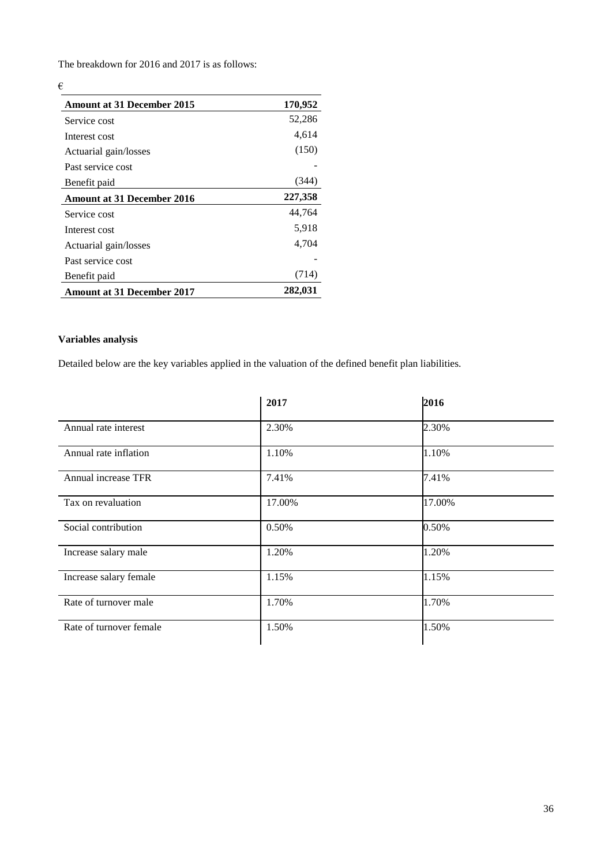The breakdown for 2016 and 2017 is as follows:

# €

| <b>Amount at 31 December 2015</b> | 170,952 |
|-----------------------------------|---------|
| Service cost                      | 52,286  |
| Interest cost                     | 4,614   |
| Actuarial gain/losses             | (150)   |
| Past service cost                 |         |
| Benefit paid                      | (344)   |
| <b>Amount at 31 December 2016</b> | 227,358 |
| Service cost                      | 44,764  |
| Interest cost                     | 5,918   |
| Actuarial gain/losses             | 4,704   |
| Past service cost                 |         |
| Benefit paid                      | (714)   |
| Amount at 31 December 2017        | 282,031 |

# **Variables analysis**

Detailed below are the key variables applied in the valuation of the defined benefit plan liabilities.

|                         | 2017   | 2016   |
|-------------------------|--------|--------|
| Annual rate interest    | 2.30%  | 2.30%  |
| Annual rate inflation   | 1.10%  | 1.10%  |
| Annual increase TFR     | 7.41%  | 7.41%  |
| Tax on revaluation      | 17.00% | 17.00% |
| Social contribution     | 0.50%  | 0.50%  |
| Increase salary male    | 1.20%  | 1.20%  |
| Increase salary female  | 1.15%  | 1.15%  |
| Rate of turnover male   | 1.70%  | 1.70%  |
| Rate of turnover female | 1.50%  | 1.50%  |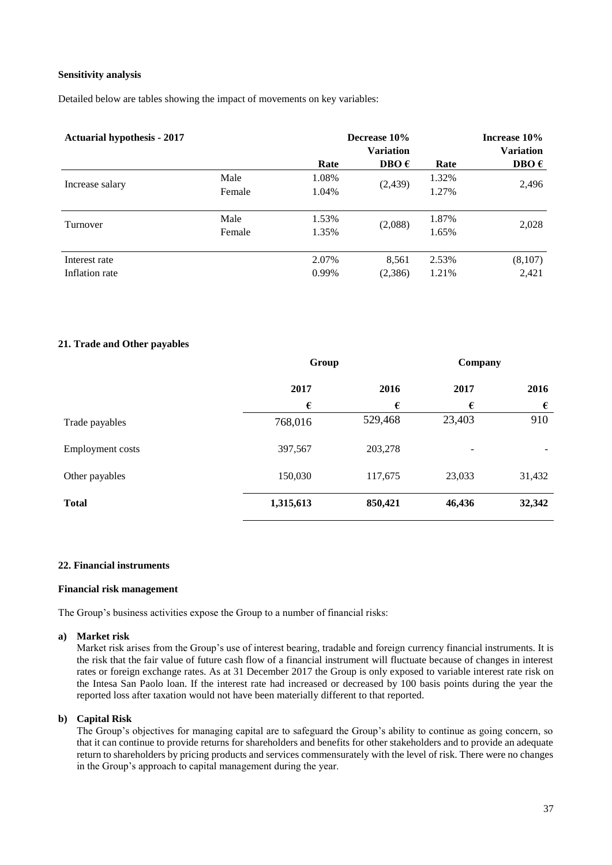### **Sensitivity analysis**

Detailed below are tables showing the impact of movements on key variables:

| <b>Actuarial hypothesis - 2017</b> |        |       | Decrease 10%<br><b>Variation</b> |       | Increase 10%<br><b>Variation</b> |
|------------------------------------|--------|-------|----------------------------------|-------|----------------------------------|
|                                    |        | Rate  | DBO $\epsilon$                   | Rate  | DBO $\epsilon$                   |
| Increase salary                    | Male   | 1.08% |                                  | 1.32% | 2,496                            |
|                                    | Female | 1.04% | (2,439)                          | 1.27% |                                  |
| Turnover                           | Male   | 1.53% | (2,088)                          | 1.87% | 2,028                            |
|                                    | Female | 1.35% |                                  | 1.65% |                                  |
| Interest rate                      |        | 2.07% | 8,561                            | 2.53% | (8,107)                          |
| Inflation rate                     |        | 0.99% | (2,386)                          | 1.21% | 2,421                            |

## **21. Trade and Other payables**

|                         |           | Group   |                          | Company |
|-------------------------|-----------|---------|--------------------------|---------|
|                         | 2017      | 2016    | 2017                     | 2016    |
|                         | €         | €       | €                        | €       |
| Trade payables          | 768,016   | 529,468 | 23,403                   | 910     |
| <b>Employment costs</b> | 397,567   | 203,278 | $\overline{\phantom{a}}$ |         |
| Other payables          | 150,030   | 117,675 | 23,033                   | 31,432  |
| <b>Total</b>            | 1,315,613 | 850,421 | 46,436                   | 32,342  |

#### **22. Financial instruments**

#### **Financial risk management**

The Group's business activities expose the Group to a number of financial risks:

#### **a) Market risk**

Market risk arises from the Group's use of interest bearing, tradable and foreign currency financial instruments. It is the risk that the fair value of future cash flow of a financial instrument will fluctuate because of changes in interest rates or foreign exchange rates. As at 31 December 2017 the Group is only exposed to variable interest rate risk on the Intesa San Paolo loan. If the interest rate had increased or decreased by 100 basis points during the year the reported loss after taxation would not have been materially different to that reported.

#### **b) Capital Risk**

The Group's objectives for managing capital are to safeguard the Group's ability to continue as going concern, so that it can continue to provide returns for shareholders and benefits for other stakeholders and to provide an adequate return to shareholders by pricing products and services commensurately with the level of risk. There were no changes in the Group's approach to capital management during the year.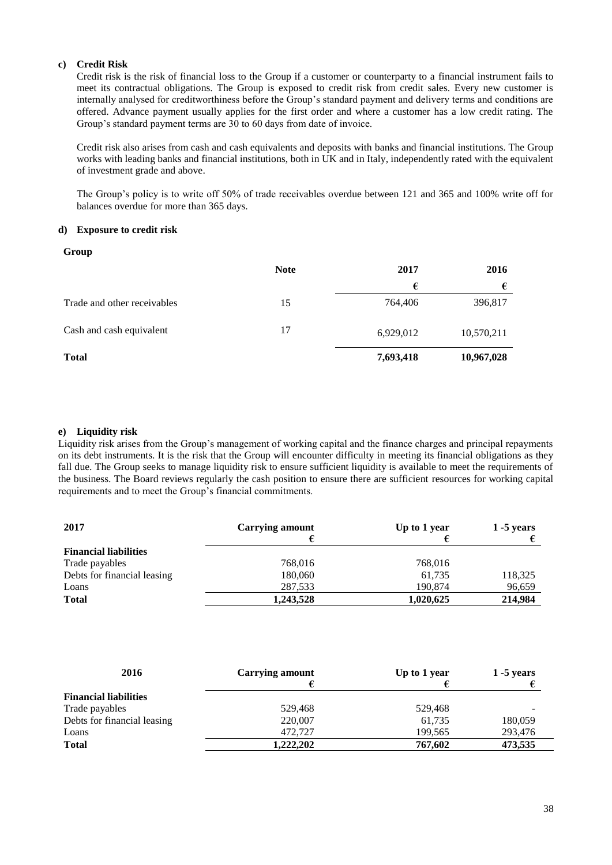## **c) Credit Risk**

Credit risk is the risk of financial loss to the Group if a customer or counterparty to a financial instrument fails to meet its contractual obligations. The Group is exposed to credit risk from credit sales. Every new customer is internally analysed for creditworthiness before the Group's standard payment and delivery terms and conditions are offered. Advance payment usually applies for the first order and where a customer has a low credit rating. The Group's standard payment terms are 30 to 60 days from date of invoice.

Credit risk also arises from cash and cash equivalents and deposits with banks and financial institutions. The Group works with leading banks and financial institutions, both in UK and in Italy, independently rated with the equivalent of investment grade and above.

The Group's policy is to write off 50% of trade receivables overdue between 121 and 365 and 100% write off for balances overdue for more than 365 days.

## **d) Exposure to credit risk**

#### **Group**

|                             | <b>Note</b> | 2017      | 2016       |
|-----------------------------|-------------|-----------|------------|
|                             |             | €         | €          |
| Trade and other receivables | 15          | 764,406   | 396,817    |
| Cash and cash equivalent    | 17          | 6,929,012 | 10,570,211 |
| <b>Total</b>                |             | 7,693,418 | 10,967,028 |

#### **e) Liquidity risk**

Liquidity risk arises from the Group's management of working capital and the finance charges and principal repayments on its debt instruments. It is the risk that the Group will encounter difficulty in meeting its financial obligations as they fall due. The Group seeks to manage liquidity risk to ensure sufficient liquidity is available to meet the requirements of the business. The Board reviews regularly the cash position to ensure there are sufficient resources for working capital requirements and to meet the Group's financial commitments.

| 2017                         | <b>Carrying amount</b><br>Up to 1 year |           | $1 - 5$ years |
|------------------------------|----------------------------------------|-----------|---------------|
|                              |                                        |           |               |
| <b>Financial liabilities</b> |                                        |           |               |
| Trade payables               | 768,016                                | 768,016   |               |
| Debts for financial leasing  | 180,060                                | 61,735    | 118,325       |
| Loans                        | 287,533                                | 190,874   | 96,659        |
| <b>Total</b>                 | 1,243,528                              | 1,020,625 | 214,984       |

| 2016                         | <b>Carrying amount</b> | Up to 1 year | $1 - 5$ years |
|------------------------------|------------------------|--------------|---------------|
|                              |                        |              |               |
| <b>Financial liabilities</b> |                        |              |               |
| Trade payables               | 529,468                | 529,468      |               |
| Debts for financial leasing  | 220,007                | 61,735       | 180,059       |
| Loans                        | 472,727                | 199,565      | 293,476       |
| <b>Total</b>                 | 1,222,202              | 767,602      | 473,535       |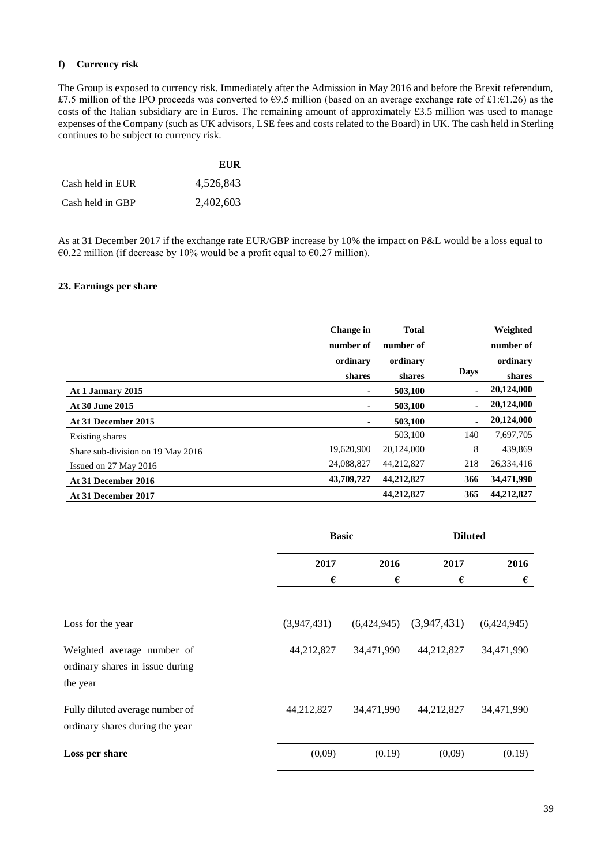## **f) Currency risk**

The Group is exposed to currency risk. Immediately after the Admission in May 2016 and before the Brexit referendum, £7.5 million of the IPO proceeds was converted to  $\epsilon$ 9.5 million (based on an average exchange rate of £1: $\epsilon$ 1.26) as the costs of the Italian subsidiary are in Euros. The remaining amount of approximately £3.5 million was used to manage expenses of the Company (such as UK advisors, LSE fees and costs related to the Board) in UK. The cash held in Sterling continues to be subject to currency risk.

|                  | EUR       |
|------------------|-----------|
| Cash held in EUR | 4,526,843 |
| Cash held in GBP | 2,402,603 |

As at 31 December 2017 if the exchange rate EUR/GBP increase by 10% the impact on P&L would be a loss equal to €0.22 million (if decrease by 10% would be a profit equal to €0.27 million).

# **23. Earnings per share**

|                                   | <b>Change</b> in | <b>Total</b> |                | Weighted   |
|-----------------------------------|------------------|--------------|----------------|------------|
|                                   | number of        | number of    |                | number of  |
|                                   | ordinary         | ordinary     |                | ordinary   |
|                                   | shares           | shares       | Days           | shares     |
| At 1 January 2015                 | ۰                | 503,100      | $\blacksquare$ | 20,124,000 |
| At 30 June 2015                   | ٠                | 503,100      | $\blacksquare$ | 20,124,000 |
| At 31 December 2015               | ٠                | 503.100      | $\blacksquare$ | 20,124,000 |
| Existing shares                   |                  | 503,100      | 140            | 7,697,705  |
| Share sub-division on 19 May 2016 | 19,620,900       | 20,124,000   | 8              | 439,869    |
| Issued on 27 May 2016             | 24,088,827       | 44,212,827   | 218            | 26,334,416 |
| At 31 December 2016               | 43,709,727       | 44,212,827   | 366            | 34,471,990 |
| At 31 December 2017               |                  | 44,212,827   | 365            | 44,212,827 |

|                                                                           | <b>Basic</b> |             | <b>Diluted</b> |             |
|---------------------------------------------------------------------------|--------------|-------------|----------------|-------------|
|                                                                           | 2017         | 2016        | 2017           | 2016        |
|                                                                           | €            | €           | €              | €           |
| Loss for the year                                                         | (3,947,431)  | (6,424,945) | (3,947,431)    | (6,424,945) |
| Weighted average number of<br>ordinary shares in issue during<br>the year | 44,212,827   | 34,471,990  | 44,212,827     | 34,471,990  |
| Fully diluted average number of<br>ordinary shares during the year        | 44,212,827   | 34,471,990  | 44,212,827     | 34,471,990  |
| Loss per share                                                            | (0,09)       | (0.19)      | (0,09)         | (0.19)      |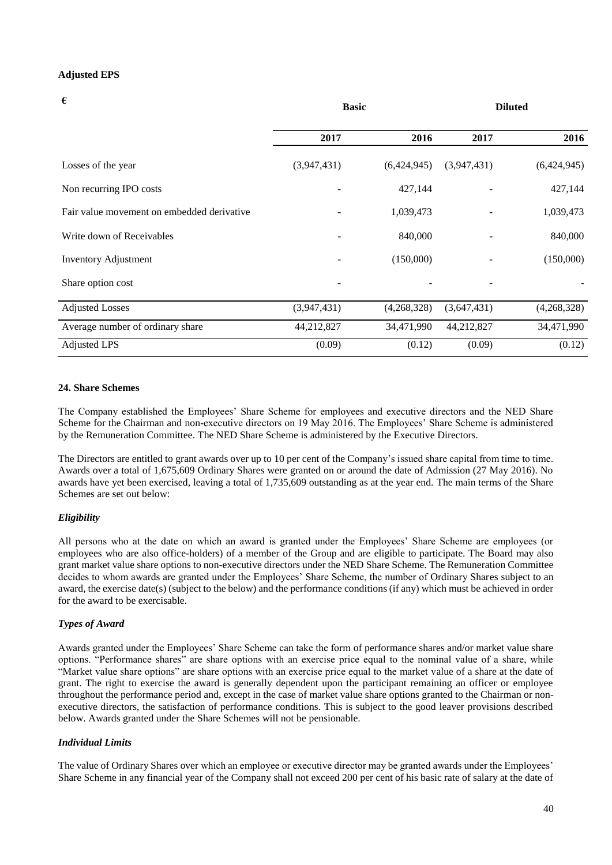#### **Adjusted EPS**

| €                                          | <b>Basic</b> |             | <b>Diluted</b> |             |
|--------------------------------------------|--------------|-------------|----------------|-------------|
|                                            | 2017         | 2016        | 2017           | 2016        |
| Losses of the year                         | (3,947,431)  | (6,424,945) | (3,947,431)    | (6,424,945) |
| Non recurring IPO costs                    |              | 427,144     |                | 427,144     |
| Fair value movement on embedded derivative |              | 1,039,473   |                | 1,039,473   |
| Write down of Receivables                  |              | 840,000     |                | 840,000     |
| <b>Inventory Adjustment</b>                |              | (150,000)   |                | (150,000)   |
| Share option cost                          |              |             |                |             |
| <b>Adjusted Losses</b>                     | (3,947,431)  | (4,268,328) | (3,647,431)    | (4,268,328) |
| Average number of ordinary share           | 44,212,827   | 34,471,990  | 44,212,827     | 34,471,990  |
| <b>Adjusted LPS</b>                        | (0.09)       | (0.12)      | (0.09)         | (0.12)      |

#### **24. Share Schemes**

The Company established the Employees' Share Scheme for employees and executive directors and the NED Share Scheme for the Chairman and non-executive directors on 19 May 2016. The Employees' Share Scheme is administered by the Remuneration Committee. The NED Share Scheme is administered by the Executive Directors.

The Directors are entitled to grant awards over up to 10 per cent of the Company's issued share capital from time to time. Awards over a total of 1,675,609 Ordinary Shares were granted on or around the date of Admission (27 May 2016). No awards have yet been exercised, leaving a total of 1,735,609 outstanding as at the year end. The main terms of the Share Schemes are set out below:

## *Eligibility*

All persons who at the date on which an award is granted under the Employees' Share Scheme are employees (or employees who are also office-holders) of a member of the Group and are eligible to participate. The Board may also grant market value share options to non-executive directors under the NED Share Scheme. The Remuneration Committee decides to whom awards are granted under the Employees' Share Scheme, the number of Ordinary Shares subject to an award, the exercise date(s) (subject to the below) and the performance conditions (if any) which must be achieved in order for the award to be exercisable.

## *Types of Award*

Awards granted under the Employees' Share Scheme can take the form of performance shares and/or market value share options. "Performance shares" are share options with an exercise price equal to the nominal value of a share, while "Market value share options" are share options with an exercise price equal to the market value of a share at the date of grant. The right to exercise the award is generally dependent upon the participant remaining an officer or employee throughout the performance period and, except in the case of market value share options granted to the Chairman or nonexecutive directors, the satisfaction of performance conditions. This is subject to the good leaver provisions described below. Awards granted under the Share Schemes will not be pensionable.

#### *Individual Limits*

The value of Ordinary Shares over which an employee or executive director may be granted awards under the Employees' Share Scheme in any financial year of the Company shall not exceed 200 per cent of his basic rate of salary at the date of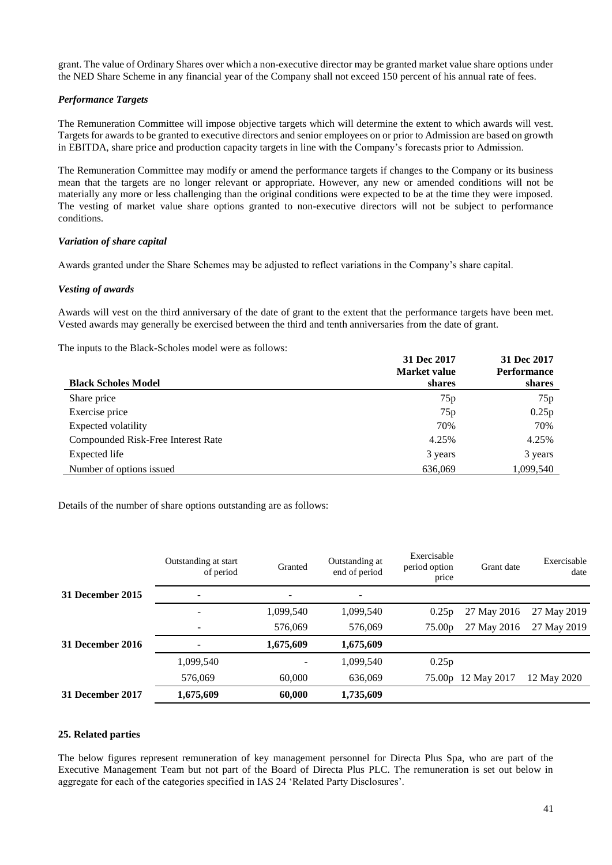grant. The value of Ordinary Shares over which a non-executive director may be granted market value share options under the NED Share Scheme in any financial year of the Company shall not exceed 150 percent of his annual rate of fees.

## *Performance Targets*

The Remuneration Committee will impose objective targets which will determine the extent to which awards will vest. Targets for awards to be granted to executive directors and senior employees on or prior to Admission are based on growth in EBITDA, share price and production capacity targets in line with the Company's forecasts prior to Admission.

The Remuneration Committee may modify or amend the performance targets if changes to the Company or its business mean that the targets are no longer relevant or appropriate. However, any new or amended conditions will not be materially any more or less challenging than the original conditions were expected to be at the time they were imposed. The vesting of market value share options granted to non-executive directors will not be subject to performance conditions.

## *Variation of share capital*

Awards granted under the Share Schemes may be adjusted to reflect variations in the Company's share capital.

## *Vesting of awards*

Awards will vest on the third anniversary of the date of grant to the extent that the performance targets have been met. Vested awards may generally be exercised between the third and tenth anniversaries from the date of grant.

The inputs to the Black-Scholes model were as follows:

|                                    | 31 Dec 2017<br>Market value | 31 Dec 2017<br><b>Performance</b> |
|------------------------------------|-----------------------------|-----------------------------------|
| <b>Black Scholes Model</b>         | shares                      | shares                            |
| Share price                        | 75p                         | 75p                               |
| Exercise price                     | 75p                         | 0.25p                             |
| Expected volatility                | 70%                         | 70%                               |
| Compounded Risk-Free Interest Rate | 4.25%                       | 4.25%                             |
| Expected life                      | 3 years                     | 3 years                           |
| Number of options issued           | 636,069                     | 1,099,540                         |

Details of the number of share options outstanding are as follows:

|                         | Outstanding at start<br>of period | Granted   | Outstanding at<br>end of period | Exercisable<br>period option<br>price | Grant date  | Exercisable<br>date |
|-------------------------|-----------------------------------|-----------|---------------------------------|---------------------------------------|-------------|---------------------|
| <b>31 December 2015</b> |                                   | ۰         | ٠                               |                                       |             |                     |
|                         |                                   | 1,099,540 | 1,099,540                       | 0.25p                                 | 27 May 2016 | 27 May 2019         |
|                         |                                   | 576,069   | 576,069                         | 75.00 <sub>p</sub>                    | 27 May 2016 | 27 May 2019         |
| 31 December 2016        |                                   | 1,675,609 | 1,675,609                       |                                       |             |                     |
|                         | 1,099,540                         |           | 1,099,540                       | 0.25p                                 |             |                     |
|                         | 576,069                           | 60,000    | 636,069                         | 75.00 <sub>p</sub>                    | 12 May 2017 | 12 May 2020         |
| 31 December 2017        | 1,675,609                         | 60,000    | 1,735,609                       |                                       |             |                     |

#### **25. Related parties**

The below figures represent remuneration of key management personnel for Directa Plus Spa, who are part of the Executive Management Team but not part of the Board of Directa Plus PLC. The remuneration is set out below in aggregate for each of the categories specified in IAS 24 'Related Party Disclosures'.